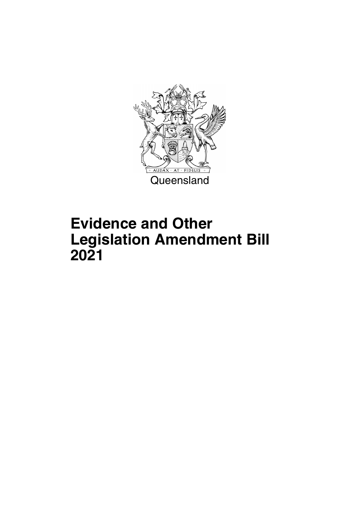

## **Evidence and Other Legislation Amendment Bill 2021**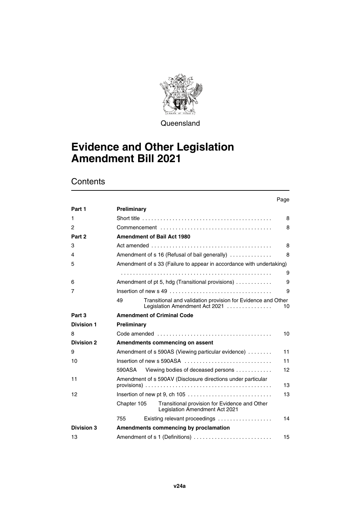

**Queensland** 

## **Evidence and Other Legislation Amendment Bill 2021**

|                   |             |                                                                                                | Page |
|-------------------|-------------|------------------------------------------------------------------------------------------------|------|
| Part 1            | Preliminary |                                                                                                |      |
| 1                 |             | Short title $\ldots \ldots \ldots \ldots \ldots \ldots \ldots \ldots \ldots \ldots \ldots$     | 8    |
| 2                 |             |                                                                                                | 8    |
| Part 2            |             | <b>Amendment of Bail Act 1980</b>                                                              |      |
| 3                 |             |                                                                                                | 8    |
| 4                 |             | Amendment of s 16 (Refusal of bail generally)                                                  | 8    |
| 5                 |             | Amendment of s 33 (Failure to appear in accordance with undertaking)                           |      |
|                   |             |                                                                                                | 9    |
| 6                 |             | Amendment of pt 5, hdg (Transitional provisions)                                               | 9    |
| 7                 |             |                                                                                                | 9    |
|                   | 49          | Transitional and validation provision for Evidence and Other<br>Legislation Amendment Act 2021 | 10   |
| Part 3            |             | <b>Amendment of Criminal Code</b>                                                              |      |
| <b>Division 1</b> | Preliminary |                                                                                                |      |
| 8                 |             |                                                                                                | 10   |
| <b>Division 2</b> |             | Amendments commencing on assent                                                                |      |
| 9                 |             | Amendment of s 590AS (Viewing particular evidence)                                             | 11   |
| 10                |             | Insertion of new s 590ASA $\ldots, \ldots, \ldots, \ldots, \ldots, \ldots, \ldots, \ldots$     | 11   |
|                   | 590ASA      | Viewing bodies of deceased persons                                                             | 12   |
| 11                |             | Amendment of s 590AV (Disclosure directions under particular                                   | 13   |
| 12                |             |                                                                                                | 13   |
|                   | Chapter 105 | Transitional provision for Evidence and Other<br>Legislation Amendment Act 2021                |      |
|                   | 755         | Existing relevant proceedings                                                                  | 14   |
| <b>Division 3</b> |             | Amendments commencing by proclamation                                                          |      |
| 13                |             | Amendment of s 1 (Definitions)                                                                 | 15   |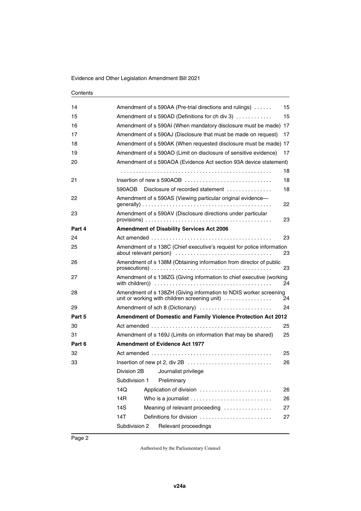| 14     |               | Amendment of s 590AA (Pre-trial directions and rulings)                                                            | 15 |
|--------|---------------|--------------------------------------------------------------------------------------------------------------------|----|
| 15     |               | Amendment of s 590AD (Definitions for ch div 3)                                                                    | 15 |
| 16     |               | Amendment of s 590AI (When mandatory disclosure must be made) 17                                                   |    |
| 17     |               | Amendment of s 590AJ (Disclosure that must be made on request)                                                     | 17 |
| 18     |               | Amendment of s 590AK (When requested disclosure must be made) 17                                                   |    |
| 19     |               | Amendment of s 590AO (Limit on disclosure of sensitive evidence)                                                   | 17 |
| 20     |               | Amendment of s 590AOA (Evidence Act section 93A device statement)                                                  |    |
|        |               |                                                                                                                    | 18 |
| 21     |               |                                                                                                                    | 18 |
|        | 590AOB        | Disclosure of recorded statement $\ldots, \ldots, \ldots, \ldots$                                                  | 18 |
| 22     |               | Amendment of s 590AS (Viewing particular original evidence—                                                        | 22 |
| 23     |               | Amendment of s 590AV (Disclosure directions under particular                                                       | 23 |
| Part 4 |               | <b>Amendment of Disability Services Act 2006</b>                                                                   |    |
| 24     |               |                                                                                                                    | 23 |
| 25     |               | Amendment of s 138C (Chief executive's request for police information<br>about relevant person)                    | 23 |
| 26     |               | Amendment of s 138M (Obtaining information from director of public                                                 | 23 |
| 27     |               | Amendment of s 138ZG (Giving information to chief executive (working                                               | 24 |
| 28     |               | Amendment of s 138ZH (Giving information to NDIS worker screening<br>unit or working with children screening unit) | 24 |
| 29     |               | Amendment of sch 8 (Dictionary)                                                                                    | 24 |
| Part 5 |               | Amendment of Domestic and Family Violence Protection Act 2012                                                      |    |
| 30     |               |                                                                                                                    | 25 |
| 31     |               | Amendment of s 169J (Limits on information that may be shared)                                                     | 25 |
| Part 6 |               | <b>Amendment of Evidence Act 1977</b>                                                                              |    |
| 32     |               |                                                                                                                    | 25 |
| 33     |               |                                                                                                                    | 26 |
|        |               | Division 2B Journalist privilege                                                                                   |    |
|        | Subdivision 1 | Preliminary                                                                                                        |    |
|        | 14Q           | Application of division                                                                                            | 26 |
|        | 14R           |                                                                                                                    | 26 |
|        | 14S           | Meaning of relevant proceeding                                                                                     | 27 |
|        | 14T           | Definitions for division                                                                                           | 27 |
|        | Subdivision 2 | Relevant proceedings                                                                                               |    |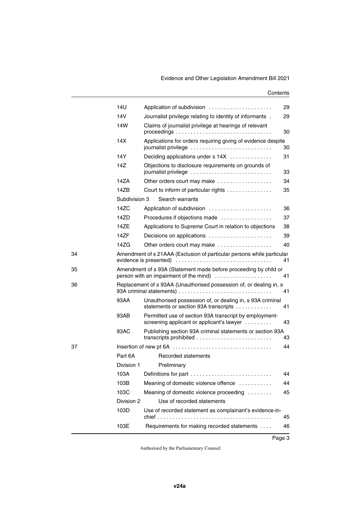|    | 141                                                                                                              | Application of subdivision                                                                          | 29 |  |
|----|------------------------------------------------------------------------------------------------------------------|-----------------------------------------------------------------------------------------------------|----|--|
|    | 14V                                                                                                              | Journalist privilege relating to identity of informants.                                            | 29 |  |
|    | 14W                                                                                                              | Claims of journalist privilege at hearings of relevant                                              | 30 |  |
|    | 14X                                                                                                              | Applications for orders requiring giving of evidence despite<br>journalist privilege                | 30 |  |
|    | 14Y                                                                                                              | Deciding applications under s 14X                                                                   | 31 |  |
|    | 14Z                                                                                                              | Objections to disclosure requirements on grounds of<br>journalist privilege                         | 33 |  |
|    | 14ZA                                                                                                             | Other orders court may make                                                                         | 34 |  |
|    | 147B                                                                                                             | Court to inform of particular rights                                                                | 35 |  |
|    | Subdivision 3                                                                                                    | Search warrants                                                                                     |    |  |
|    | 14ZC                                                                                                             | Application of subdivision                                                                          | 36 |  |
|    | 14ZD                                                                                                             | Procedures if objections made                                                                       | 37 |  |
|    | 14ZE                                                                                                             | Applications to Supreme Court in relation to objections                                             | 38 |  |
|    | 14ZF                                                                                                             | Decisions on applications                                                                           | 39 |  |
|    | 14ZG                                                                                                             | Other orders court may make                                                                         | 40 |  |
| 34 | Amendment of s 21AAA (Exclusion of particular persons while particular<br>evidence is presented)<br>41           |                                                                                                     |    |  |
| 35 | Amendment of s 93A (Statement made before proceeding by child or<br>person with an impairment of the mind)<br>41 |                                                                                                     |    |  |
| 36 |                                                                                                                  | Replacement of s 93AA (Unauthorised possession of, or dealing in, s                                 | 41 |  |
|    | 93AA                                                                                                             | Unauthorised possession of, or dealing in, s 93A criminal<br>statements or section 93A transcripts  | 41 |  |
|    | 93AB                                                                                                             | Permitted use of section 93A transcript by employment-<br>screening applicant or applicant's lawyer | 43 |  |
|    | 93AC                                                                                                             | Publishing section 93A criminal statements or section 93A<br>transcripts prohibited                 | 43 |  |
| 37 |                                                                                                                  |                                                                                                     | 44 |  |
|    | Part 6A                                                                                                          | Recorded statements                                                                                 |    |  |
|    | Division 1                                                                                                       | Preliminary                                                                                         |    |  |
|    |                                                                                                                  | 103A Definitions for part                                                                           | 44 |  |
|    | 103B                                                                                                             | Meaning of domestic violence offence                                                                | 44 |  |
|    | 103C                                                                                                             | Meaning of domestic violence proceeding                                                             | 45 |  |
|    | Division 2                                                                                                       | Use of recorded statements                                                                          |    |  |
|    | 103D                                                                                                             | Use of recorded statement as complainant's evidence-in-                                             | 45 |  |
|    | 103E                                                                                                             | Requirements for making recorded statements                                                         | 46 |  |
|    |                                                                                                                  |                                                                                                     |    |  |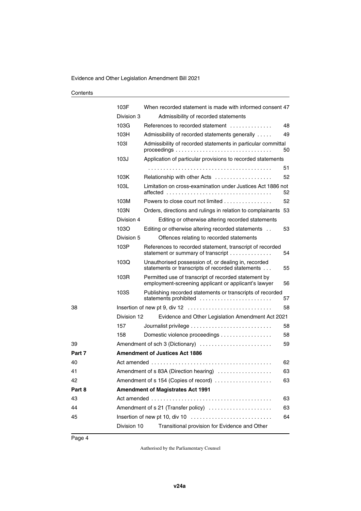|        | 103F        | When recorded statement is made with informed consent 47                                                                                              |    |
|--------|-------------|-------------------------------------------------------------------------------------------------------------------------------------------------------|----|
|        | Division 3  | Admissibility of recorded statements                                                                                                                  |    |
|        | 103G        | References to recorded statement                                                                                                                      | 48 |
|        | 103H        | Admissibility of recorded statements generally                                                                                                        | 49 |
|        | 1031        | Admissibility of recorded statements in particular committal<br>$proceedings \dots \dots \dots \dots \dots \dots \dots \dots \dots \dots \dots \dots$ | 50 |
|        | 103J        | Application of particular provisions to recorded statements                                                                                           |    |
|        |             |                                                                                                                                                       | 51 |
|        | 103K        | Relationship with other Acts                                                                                                                          | 52 |
|        | 103L        | Limitation on cross-examination under Justices Act 1886 not                                                                                           | 52 |
|        | 103M        | Powers to close court not limited $\ldots, \ldots, \ldots, \ldots$                                                                                    | 52 |
|        | 103N        | Orders, directions and rulings in relation to complainants                                                                                            | 53 |
|        | Division 4  | Editing or otherwise altering recorded statements                                                                                                     |    |
|        | 103O        | Editing or otherwise altering recorded statements                                                                                                     | 53 |
|        | Division 5  | Offences relating to recorded statements                                                                                                              |    |
|        | 103P        | References to recorded statement, transcript of recorded<br>statement or summary of transcript                                                        | 54 |
|        | 103Q        | Unauthorised possession of, or dealing in, recorded<br>statements or transcripts of recorded statements                                               | 55 |
|        | 103R        | Permitted use of transcript of recorded statement by<br>employment-screening applicant or applicant's lawyer                                          | 56 |
|        | 103S        | Publishing recorded statements or transcripts of recorded<br>statements prohibited                                                                    | 57 |
| 38     |             |                                                                                                                                                       | 58 |
|        | Division 12 | Evidence and Other Legislation Amendment Act 2021                                                                                                     |    |
|        | 157         |                                                                                                                                                       | 58 |
|        | 158         | Domestic violence proceedings                                                                                                                         | 58 |
| 39     |             | Amendment of sch 3 (Dictionary)                                                                                                                       | 59 |
| Part 7 |             | <b>Amendment of Justices Act 1886</b>                                                                                                                 |    |
| 40     |             |                                                                                                                                                       | 62 |
| 41     |             | Amendment of s 83A (Direction hearing)                                                                                                                | 63 |
| 42     |             | Amendment of s 154 (Copies of record)                                                                                                                 | 63 |
| Part 8 |             | <b>Amendment of Magistrates Act 1991</b>                                                                                                              |    |
| 43     |             |                                                                                                                                                       | 63 |
| 44     |             | Amendment of s 21 (Transfer policy)                                                                                                                   | 63 |
| 45     |             | Insertion of new pt 10, div 10                                                                                                                        | 64 |
|        | Division 10 | Transitional provision for Evidence and Other                                                                                                         |    |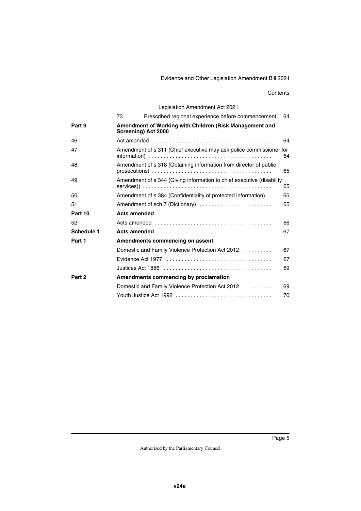|                   |    | Legislation Amendment Act 2021                                                        |    |
|-------------------|----|---------------------------------------------------------------------------------------|----|
|                   | 73 | Prescribed regional experience before commencement                                    | 64 |
| Part 9            |    | Amendment of Working with Children (Risk Management and<br><b>Screening) Act 2000</b> |    |
| 46                |    |                                                                                       | 64 |
| 47                |    | Amendment of s 311 (Chief executive may ask police commissioner for                   | 64 |
| 48                |    | Amendment of s 318 (Obtaining information from director of public                     | 65 |
| 49                |    | Amendment of s 344 (Giving information to chief executive (disability                 | 65 |
| 50                |    | Amendment of s 384 (Confidentiality of protected information).                        | 65 |
| 51                |    | Amendment of sch 7 (Dictionary)                                                       | 65 |
| Part 10           |    | <b>Acts amended</b>                                                                   |    |
| 52                |    | Acts amended $\ldots \ldots \ldots \ldots \ldots \ldots \ldots \ldots \ldots \ldots$  | 66 |
| Schedule 1        |    |                                                                                       | 67 |
| Part 1            |    | Amendments commencing on assent                                                       |    |
|                   |    | Domestic and Family Violence Protection Act 2012                                      | 67 |
|                   |    |                                                                                       | 67 |
|                   |    |                                                                                       | 69 |
| Part <sub>2</sub> |    | Amendments commencing by proclamation                                                 |    |
|                   |    | Domestic and Family Violence Protection Act 2012                                      | 69 |
|                   |    |                                                                                       | 70 |
|                   |    |                                                                                       |    |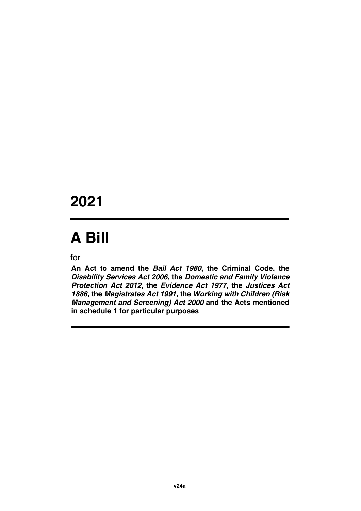## **2021**

# **A Bill**

for

**An Act to amend the** *Bail Act 1980***, the Criminal Code, the** *Disability Services Act 2006***, the** *Domestic and Family Violence Protection Act 2012***, the** *Evidence Act 1977***, the** *Justices Act 1886***, the** *Magistrates Act 1991***, the** *Working with Children (Risk Management and Screening) Act 2000* **and the Acts mentioned in schedule 1 for particular purposes**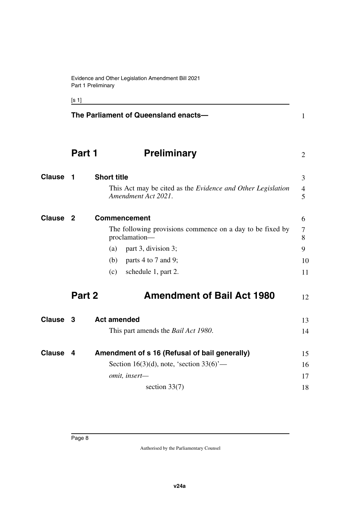<span id="page-9-7"></span><span id="page-9-5"></span><span id="page-9-3"></span><span id="page-9-1"></span>

[s 1]

<span id="page-9-11"></span><span id="page-9-10"></span><span id="page-9-9"></span><span id="page-9-8"></span><span id="page-9-6"></span><span id="page-9-4"></span><span id="page-9-2"></span><span id="page-9-0"></span>

|               |              | The Parliament of Queensland enacts-                                                      | $\mathbf{1}$        |
|---------------|--------------|-------------------------------------------------------------------------------------------|---------------------|
|               | Part 1       | <b>Preliminary</b>                                                                        | $\overline{2}$      |
| <b>Clause</b> | -1           | <b>Short title</b>                                                                        | 3                   |
|               |              | This Act may be cited as the <i>Evidence and Other Legislation</i><br>Amendment Act 2021. | $\overline{4}$<br>5 |
| <b>Clause</b> | $\mathbf{2}$ | Commencement                                                                              | 6                   |
|               |              | The following provisions commence on a day to be fixed by<br>proclamation-                | 7<br>8              |
|               |              | part 3, division 3;<br>(a)                                                                | 9                   |
|               |              | parts 4 to 7 and 9;<br>(b)                                                                | 10                  |
|               |              | schedule 1, part 2.<br>(c)                                                                | 11                  |
|               | Part 2       | <b>Amendment of Bail Act 1980</b>                                                         | 12                  |
| Clause 3      |              | <b>Act amended</b>                                                                        | 13                  |
|               |              | This part amends the <i>Bail Act 1980</i> .                                               | 14                  |
| <b>Clause</b> | 4            | Amendment of s 16 (Refusal of bail generally)                                             | 15                  |
|               |              | Section 16(3)(d), note, 'section $33(6)$ '—                                               | 16                  |
|               |              | omit, insert-                                                                             | 17                  |
|               |              | section $33(7)$                                                                           | 18                  |
|               |              |                                                                                           |                     |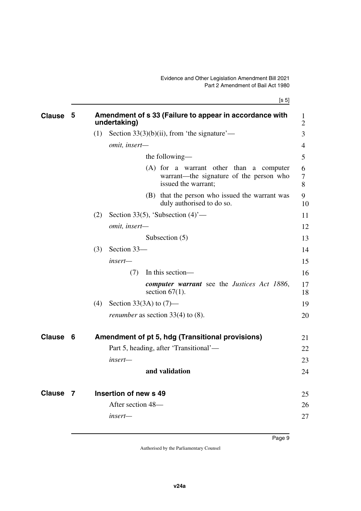[s 5]

<span id="page-10-5"></span><span id="page-10-4"></span><span id="page-10-3"></span><span id="page-10-2"></span><span id="page-10-1"></span><span id="page-10-0"></span>

| <b>Clause</b> | 5  |     | Amendment of s 33 (Failure to appear in accordance with<br>undertaking)                                   | $\bf{l}$<br>$\overline{2}$ |
|---------------|----|-----|-----------------------------------------------------------------------------------------------------------|----------------------------|
|               |    | (1) | Section $33(3)(b)(ii)$ , from 'the signature'—                                                            | 3                          |
|               |    |     | omit, insert-                                                                                             | 4                          |
|               |    |     | the following—                                                                                            | 5                          |
|               |    |     | (A) for a warrant other than a computer<br>warrant—the signature of the person who<br>issued the warrant; | 6<br>7<br>8                |
|               |    |     | (B) that the person who issued the warrant was<br>duly authorised to do so.                               | 9<br>10                    |
|               |    | (2) | Section 33(5), 'Subsection $(4)$ '—                                                                       | 11                         |
|               |    |     | omit, insert-                                                                                             | 12                         |
|               |    |     | Subsection (5)                                                                                            | 13                         |
|               |    | (3) | Section 33-                                                                                               | 14                         |
|               |    |     | insert—                                                                                                   | 15                         |
|               |    |     | In this section—<br>(7)                                                                                   | 16                         |
|               |    |     | computer warrant see the Justices Act 1886,<br>section $67(1)$ .                                          | 17<br>18                   |
|               |    | (4) | Section 33(3A) to $(7)$ —                                                                                 | 19                         |
|               |    |     | <i>renumber</i> as section 33(4) to $(8)$ .                                                               | 20                         |
| <b>Clause</b> | -6 |     | Amendment of pt 5, hdg (Transitional provisions)                                                          | 21                         |
|               |    |     | Part 5, heading, after 'Transitional'—                                                                    | 22                         |
|               |    |     | insert—                                                                                                   | 23                         |
|               |    |     | and validation                                                                                            | 24                         |
| <b>Clause</b> | 7  |     | Insertion of new s 49                                                                                     | 25                         |
|               |    |     | After section 48-                                                                                         | 26                         |
|               |    |     | insert—                                                                                                   | 27                         |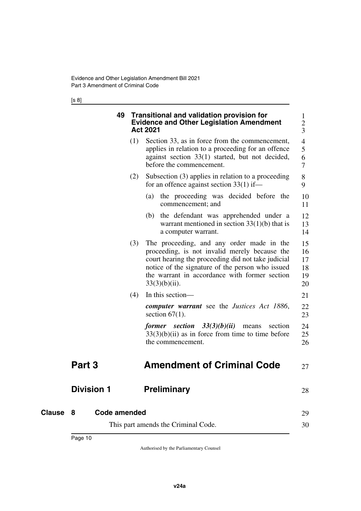<span id="page-11-1"></span><span id="page-11-0"></span>[s 8]

<span id="page-11-7"></span><span id="page-11-6"></span><span id="page-11-5"></span><span id="page-11-4"></span><span id="page-11-3"></span><span id="page-11-2"></span>

|               | 49                |     | <b>Transitional and validation provision for</b><br><b>Evidence and Other Legislation Amendment</b><br><b>Act 2021</b>                                                                                                                                                    | 1<br>$\overline{2}$<br>3         |
|---------------|-------------------|-----|---------------------------------------------------------------------------------------------------------------------------------------------------------------------------------------------------------------------------------------------------------------------------|----------------------------------|
|               |                   | (1) | Section 33, as in force from the commencement,<br>applies in relation to a proceeding for an offence<br>against section 33(1) started, but not decided,<br>before the commencement.                                                                                       | 4<br>5<br>6<br>7                 |
|               |                   | (2) | Subsection $(3)$ applies in relation to a proceeding<br>for an offence against section $33(1)$ if—                                                                                                                                                                        | 8<br>9                           |
|               |                   |     | (a) the proceeding was decided before the<br>commencement; and                                                                                                                                                                                                            | 10<br>11                         |
|               |                   |     | the defendant was apprehended under a<br>(b)<br>warrant mentioned in section $33(1)(b)$ that is<br>a computer warrant.                                                                                                                                                    | 12<br>13<br>14                   |
|               |                   | (3) | The proceeding, and any order made in the<br>proceeding, is not invalid merely because the<br>court hearing the proceeding did not take judicial<br>notice of the signature of the person who issued<br>the warrant in accordance with former section<br>$33(3)(b)(ii)$ . | 15<br>16<br>17<br>18<br>19<br>20 |
|               |                   | (4) | In this section—                                                                                                                                                                                                                                                          | 21                               |
|               |                   |     | <b>computer warrant</b> see the <i>Justices Act 1886</i> ,<br>section $67(1)$ .                                                                                                                                                                                           | 22<br>23                         |
|               |                   |     | former section $33(3)(b)(ii)$<br>section<br>means<br>$33(3)(b)(ii)$ as in force from time to time before<br>the commencement.                                                                                                                                             | 24<br>25<br>26                   |
|               | Part 3            |     | <b>Amendment of Criminal Code</b>                                                                                                                                                                                                                                         | 27                               |
|               | <b>Division 1</b> |     | <b>Preliminary</b>                                                                                                                                                                                                                                                        | 28                               |
| <b>Clause</b> | Code amended<br>8 |     |                                                                                                                                                                                                                                                                           | 29                               |
|               |                   |     | This part amends the Criminal Code.                                                                                                                                                                                                                                       | 30                               |
|               |                   |     |                                                                                                                                                                                                                                                                           |                                  |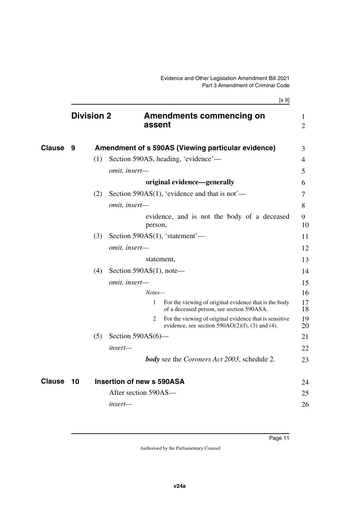<span id="page-12-5"></span><span id="page-12-4"></span><span id="page-12-3"></span><span id="page-12-2"></span><span id="page-12-1"></span><span id="page-12-0"></span>

|               |                   |     | [s 9]                                                                                                             |                     |
|---------------|-------------------|-----|-------------------------------------------------------------------------------------------------------------------|---------------------|
|               | <b>Division 2</b> |     | <b>Amendments commencing on</b><br>assent                                                                         | 1<br>$\overline{2}$ |
| <b>Clause</b> | 9                 |     | Amendment of s 590AS (Viewing particular evidence)                                                                | 3                   |
|               |                   | (1) | Section 590AS, heading, 'evidence'—                                                                               | 4                   |
|               |                   |     | omit, insert-                                                                                                     | 5                   |
|               |                   |     | original evidence-generally                                                                                       | 6                   |
|               |                   | (2) | Section 590AS $(1)$ , 'evidence and that is not'—                                                                 | 7                   |
|               |                   |     | omit, insert-                                                                                                     | 8                   |
|               |                   |     | evidence, and is not the body of a deceased<br>person,                                                            | 9<br>10             |
|               |                   | (3) | Section 590AS(1), 'statement'—                                                                                    | 11                  |
|               |                   |     | omit, insert-                                                                                                     | 12                  |
|               |                   |     | statement,                                                                                                        | 13                  |
|               |                   | (4) | Section $590AS(1)$ , note—                                                                                        | 14                  |
|               |                   |     | omit, insert-                                                                                                     | 15                  |
|               |                   |     | Notes-                                                                                                            | 16                  |
|               |                   |     | For the viewing of original evidence that is the body<br>1<br>of a deceased person, see section 590ASA.           | 17<br>18            |
|               |                   |     | For the viewing of original evidence that is sensitive<br>2<br>evidence, see section $590AO(2)(f)$ , (3) and (4). | 19<br>20            |
|               |                   | (5) | Section $590AS(6)$ —                                                                                              | 21                  |
|               |                   |     | insert—                                                                                                           | 22                  |
|               |                   |     | <b>body</b> see the <i>Coroners Act 2003</i> , schedule 2.                                                        | 23                  |
| <b>Clause</b> | 10                |     | Insertion of new s 590ASA                                                                                         | 24                  |
|               |                   |     | After section 590AS—                                                                                              | 25                  |
|               |                   |     | insert—                                                                                                           | 26                  |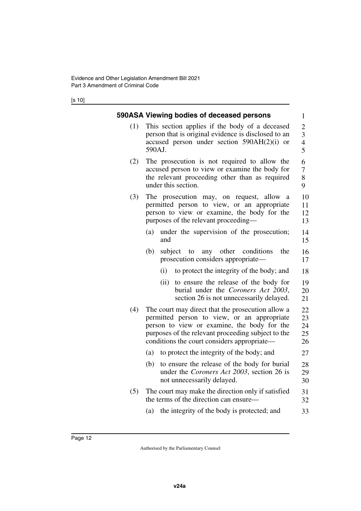[s 10]

<span id="page-13-1"></span><span id="page-13-0"></span>

|     | 590ASA Viewing bodies of deceased persons                                                                                                                                                                                                            | 1                                                    |
|-----|------------------------------------------------------------------------------------------------------------------------------------------------------------------------------------------------------------------------------------------------------|------------------------------------------------------|
| (1) | This section applies if the body of a deceased<br>person that is original evidence is disclosed to an<br>accused person under section $590AH(2)(i)$ or<br>590AJ.                                                                                     | $\overline{2}$<br>3<br>$\overline{\mathcal{L}}$<br>5 |
| (2) | The prosecution is not required to allow the<br>accused person to view or examine the body for<br>the relevant proceeding other than as required<br>under this section.                                                                              | 6<br>$\overline{7}$<br>8<br>9                        |
| (3) | The prosecution<br>allow<br>may, on request,<br>- a<br>permitted person to view, or an appropriate<br>person to view or examine, the body for the<br>purposes of the relevant proceeding-                                                            | 10<br>11<br>12<br>13                                 |
|     | under the supervision of the prosecution;<br>(a)<br>and                                                                                                                                                                                              | 14<br>15                                             |
|     | other<br>the<br>(b)<br>subject to<br>conditions<br>any<br>prosecution considers appropriate—                                                                                                                                                         | 16<br>17                                             |
|     | to protect the integrity of the body; and<br>(i)                                                                                                                                                                                                     | 18                                                   |
|     | (ii)<br>to ensure the release of the body for<br>burial under the Coroners Act 2003,<br>section 26 is not unnecessarily delayed.                                                                                                                     | 19<br>20<br>21                                       |
| (4) | The court may direct that the prosecution allow a<br>permitted person to view, or an appropriate<br>person to view or examine, the body for the<br>purposes of the relevant proceeding subject to the<br>conditions the court considers appropriate— | 22<br>23<br>24<br>25<br>26                           |
|     | to protect the integrity of the body; and<br>(a)                                                                                                                                                                                                     | 27                                                   |
|     | to ensure the release of the body for burial<br>(b)<br>under the Coroners Act 2003, section 26 is<br>not unnecessarily delayed.                                                                                                                      | 28<br>29<br>30                                       |
| (5) | The court may make the direction only if satisfied<br>the terms of the direction can ensure—                                                                                                                                                         | 31<br>32                                             |
|     | (a) the integrity of the body is protected; and                                                                                                                                                                                                      | 33                                                   |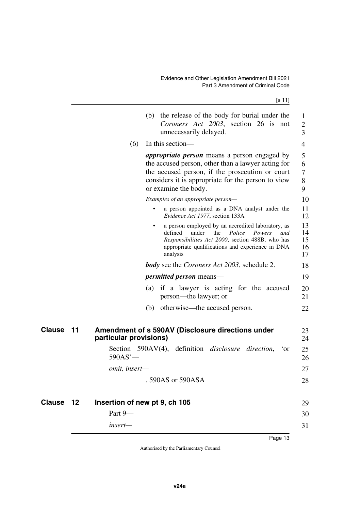<span id="page-14-3"></span><span id="page-14-2"></span><span id="page-14-1"></span><span id="page-14-0"></span>

|               |    | (b) the release of the body for burial under the<br>Coroners Act 2003, section 26 is not<br>unnecessarily delayed.                                                                                                                         | $\mathbf{1}$<br>$\overline{2}$<br>3 |
|---------------|----|--------------------------------------------------------------------------------------------------------------------------------------------------------------------------------------------------------------------------------------------|-------------------------------------|
|               |    | (6)<br>In this section—                                                                                                                                                                                                                    | 4                                   |
|               |    | <i>appropriate person</i> means a person engaged by<br>the accused person, other than a lawyer acting for<br>the accused person, if the prosecution or court<br>considers it is appropriate for the person to view<br>or examine the body. | 5<br>6<br>7<br>8<br>9               |
|               |    | Examples of an appropriate person-                                                                                                                                                                                                         | 10                                  |
|               |    | a person appointed as a DNA analyst under the<br>٠<br>Evidence Act 1977, section 133A                                                                                                                                                      | 11<br>12                            |
|               |    | a person employed by an accredited laboratory, as<br>the<br>Police<br>defined<br>under<br>Powers<br>and<br>Responsibilities Act 2000, section 488B, who has<br>appropriate qualifications and experience in DNA<br>analysis                | 13<br>14<br>15<br>16<br>17          |
|               |    | <b>body</b> see the <i>Coroners Act 2003</i> , schedule 2.                                                                                                                                                                                 | 18                                  |
|               |    | <i>permitted person</i> means—                                                                                                                                                                                                             | 19                                  |
|               |    | if a lawyer is acting for the accused<br>(a)<br>person—the lawyer; or                                                                                                                                                                      | 20<br>21                            |
|               |    | otherwise—the accused person.<br>(b)                                                                                                                                                                                                       | 22                                  |
| Clause        | 11 | Amendment of s 590AV (Disclosure directions under<br>particular provisions)                                                                                                                                                                | 23<br>24                            |
|               |    | Section 590AV(4), definition <i>disclosure</i> direction, 'or<br>590AS'                                                                                                                                                                    | 25<br>26                            |
|               |    | omit, insert-                                                                                                                                                                                                                              | 27                                  |
|               |    | 590AS or 590ASA                                                                                                                                                                                                                            | 28                                  |
| <b>Clause</b> | 12 | Insertion of new pt 9, ch 105                                                                                                                                                                                                              | 29                                  |
|               |    | Part 9-                                                                                                                                                                                                                                    | 30                                  |
|               |    | $insert-$                                                                                                                                                                                                                                  | 31                                  |
|               |    |                                                                                                                                                                                                                                            |                                     |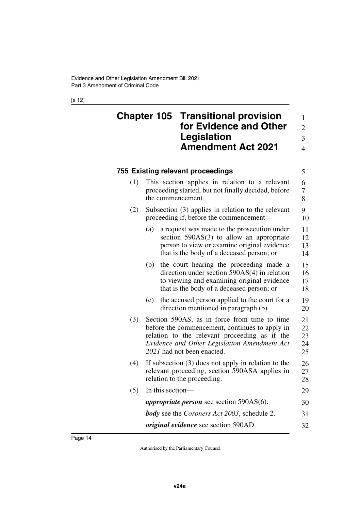[s 12]

<span id="page-15-1"></span><span id="page-15-0"></span>

| <b>Chapter 105 Transitional provision</b> |               |
|-------------------------------------------|---------------|
| for Evidence and Other                    | $\mathcal{D}$ |
| Legislation                               | $\mathcal{E}$ |
| <b>Amendment Act 2021</b>                 | 4             |

#### <span id="page-15-3"></span><span id="page-15-2"></span>**755 Existing relevant proceedings** (1) This section applies in relation to a relevant proceeding started, but not finally decided, before the commencement. (2) Subsection (3) applies in relation to the relevant proceeding if, before the commencement— (a) a request was made to the prosecution under section 590AS(3) to allow an appropriate person to view or examine original evidence that is the body of a deceased person; or (b) the court hearing the proceeding made a direction under section 590AS(4) in relation 5 6 7 8 9 10 11 12 13 14 15 16

(c) the accused person applied to the court for a direction mentioned in paragraph (b). 19 20

to viewing and examining original evidence that is the body of a deceased person; or

17 18

- (3) Section 590AS, as in force from time to time before the commencement, continues to apply in relation to the relevant proceeding as if the *Evidence and Other Legislation Amendment Act 2021* had not been enacted. 21 22 23 24 25
- (4) If subsection (3) does not apply in relation to the relevant proceeding, section 590ASA applies in relation to the proceeding. 26 27 28

| $(5)$ In this section—                                     | 29 |
|------------------------------------------------------------|----|
| <i>appropriate person</i> see section $590AS(6)$ .         | 30 |
| <b>body</b> see the <i>Coroners Act 2003</i> , schedule 2. | 31 |
| <i>original evidence</i> see section 590AD.                | 32 |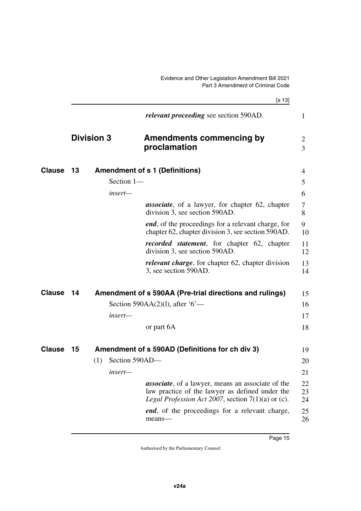<span id="page-16-7"></span><span id="page-16-6"></span><span id="page-16-5"></span><span id="page-16-4"></span><span id="page-16-3"></span><span id="page-16-2"></span><span id="page-16-1"></span><span id="page-16-0"></span>

|               |      |                       | [s 13]                                                                                                                                                                       |                                  |
|---------------|------|-----------------------|------------------------------------------------------------------------------------------------------------------------------------------------------------------------------|----------------------------------|
|               |      |                       | <i>relevant proceeding</i> see section 590AD.                                                                                                                                | $\mathbf{1}$                     |
|               |      | <b>Division 3</b>     | <b>Amendments commencing by</b><br>proclamation                                                                                                                              | $\overline{2}$<br>$\overline{3}$ |
| <b>Clause</b> | 13   |                       | <b>Amendment of s 1 (Definitions)</b>                                                                                                                                        | 4                                |
|               |      | Section 1-            |                                                                                                                                                                              | 5                                |
|               |      | insert—               |                                                                                                                                                                              | 6                                |
|               |      |                       | <b>associate</b> , of a lawyer, for chapter 62, chapter<br>division 3, see section 590AD.                                                                                    | 7<br>8                           |
|               |      |                       | <i>end</i> , of the proceedings for a relevant charge, for<br>chapter 62, chapter division 3, see section 590AD.                                                             | 9<br>10                          |
|               |      |                       | <i>recorded statement</i> , for chapter 62, chapter<br>division 3, see section 590AD.                                                                                        | 11<br>12                         |
|               |      |                       | <i>relevant charge</i> , for chapter 62, chapter division<br>3, see section 590AD.                                                                                           | 13<br>14                         |
| <b>Clause</b> | 14   |                       | Amendment of s 590AA (Pre-trial directions and rulings)                                                                                                                      | 15                               |
|               |      |                       | Section 590AA $(2)(1)$ , after '6'—                                                                                                                                          | 16                               |
|               |      | insert—               |                                                                                                                                                                              | 17                               |
|               |      |                       | or part 6A                                                                                                                                                                   | 18                               |
| <b>Clause</b> | - 15 |                       | Amendment of s 590AD (Definitions for ch div 3)                                                                                                                              | 19                               |
|               |      | Section 590AD-<br>(1) |                                                                                                                                                                              | 20                               |
|               |      | insert—               |                                                                                                                                                                              | 21                               |
|               |      |                       | <i>associate</i> , of a lawyer, means an associate of the<br>law practice of the lawyer as defined under the<br><i>Legal Profession Act 2007</i> , section $7(1)(a)$ or (c). | 22<br>23<br>24                   |
|               |      |                       | <i>end</i> , of the proceedings for a relevant charge,<br>means-                                                                                                             | 25<br>26                         |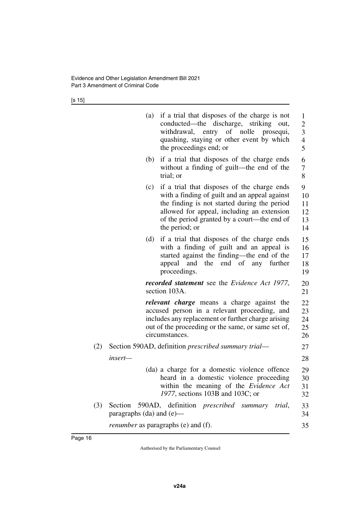[s 15]

|     | (a)                           | if a trial that disposes of the charge is not<br>conducted—the discharge, striking out,<br>entry of nolle prosequi,<br>withdrawal,<br>quashing, staying or other event by which<br>the proceedings end; or                                                  | 1<br>$\overline{c}$<br>$\overline{\mathbf{3}}$<br>$\overline{4}$<br>5 |
|-----|-------------------------------|-------------------------------------------------------------------------------------------------------------------------------------------------------------------------------------------------------------------------------------------------------------|-----------------------------------------------------------------------|
|     | (b)                           | if a trial that disposes of the charge ends<br>without a finding of guilt-the end of the<br>trial; or                                                                                                                                                       | 6<br>7<br>8                                                           |
|     | (c)                           | if a trial that disposes of the charge ends<br>with a finding of guilt and an appeal against<br>the finding is not started during the period<br>allowed for appeal, including an extension<br>of the period granted by a court—the end of<br>the period; or | 9<br>10<br>11<br>12<br>13<br>14                                       |
|     | (d)                           | if a trial that disposes of the charge ends<br>with a finding of guilt and an appeal is<br>started against the finding—the end of the<br>appeal and the end of any further<br>proceedings.                                                                  | 15<br>16<br>17<br>18<br>19                                            |
|     |                               | <b>recorded statement</b> see the <i>Evidence Act 1977</i> ,<br>section 103A.                                                                                                                                                                               | 20<br>21                                                              |
|     |                               | relevant charge means a charge against the<br>accused person in a relevant proceeding, and<br>includes any replacement or further charge arising<br>out of the proceeding or the same, or same set of,<br>circumstances.                                    | 22<br>23<br>24<br>25<br>26                                            |
| (2) |                               | Section 590AD, definition <i>prescribed summary trial—</i>                                                                                                                                                                                                  | 27                                                                    |
|     | insert—                       |                                                                                                                                                                                                                                                             | 28                                                                    |
|     |                               | (da) a charge for a domestic violence offence<br>heard in a domestic violence proceeding<br>within the meaning of the Evidence Act<br>1977, sections 103B and 103C; or                                                                                      | 29<br>30<br>31<br>32                                                  |
| (3) | paragraphs $(da)$ and $(e)$ — | Section 590AD, definition <i>prescribed</i> summary trial,                                                                                                                                                                                                  | 33<br>34                                                              |
|     |                               | <i>renumber</i> as paragraphs (e) and (f).                                                                                                                                                                                                                  | 35                                                                    |
|     |                               |                                                                                                                                                                                                                                                             |                                                                       |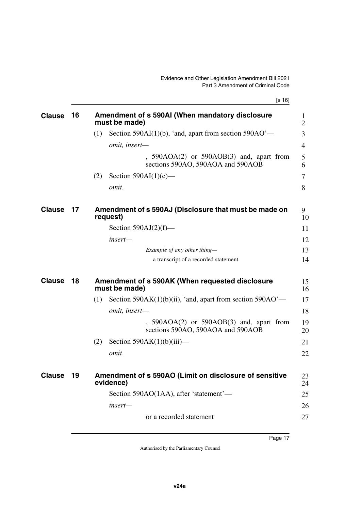[s 16]

<span id="page-18-7"></span><span id="page-18-6"></span><span id="page-18-5"></span><span id="page-18-4"></span><span id="page-18-3"></span><span id="page-18-2"></span><span id="page-18-1"></span><span id="page-18-0"></span>

| <b>Clause</b> | 16  |     | Amendment of s 590AI (When mandatory disclosure                                   | 1              |
|---------------|-----|-----|-----------------------------------------------------------------------------------|----------------|
|               |     |     | must be made)                                                                     | $\overline{2}$ |
|               |     | (1) | Section 590AI(1)(b), 'and, apart from section $590AO'$ —                          | 3              |
|               |     |     | omit, insert-                                                                     | 4              |
|               |     |     | $, 590AOA(2)$ or $590AOB(3)$ and, apart from<br>sections 590AO, 590AOA and 590AOB | 5<br>6         |
|               |     | (2) | Section $590AI(1)(c)$ —                                                           | 7              |
|               |     |     | omit.                                                                             | 8              |
| <b>Clause</b> | 17  |     | Amendment of s 590AJ (Disclosure that must be made on<br>request)                 | 9<br>10        |
|               |     |     | Section $590AJ(2)(f)$ —                                                           | 11             |
|               |     |     | insert—                                                                           | 12             |
|               |     |     | Example of any other thing-                                                       | 13             |
|               |     |     | a transcript of a recorded statement                                              | 14             |
| <b>Clause</b> | 18  |     | Amendment of s 590AK (When requested disclosure<br>must be made)                  | 15<br>16       |
|               |     | (1) | Section 590AK $(1)(b)(ii)$ , 'and, apart from section 590AO'—                     | 17             |
|               |     |     | omit, insert-                                                                     | 18             |
|               |     |     | $, 590AOA(2)$ or $590AOB(3)$ and, apart from<br>sections 590AO, 590AOA and 590AOB | 19<br>20       |
|               |     | (2) | Section $590AK(1)(b)(iii)$ —                                                      | 21             |
|               |     |     | omit.                                                                             | 22             |
| <b>Clause</b> | -19 |     | Amendment of s 590AO (Limit on disclosure of sensitive<br>evidence)               | 23<br>24       |
|               |     |     | Section 590AO(1AA), after 'statement'—                                            | 25             |
|               |     |     | insert—                                                                           | 26             |
|               |     |     | or a recorded statement                                                           | 27             |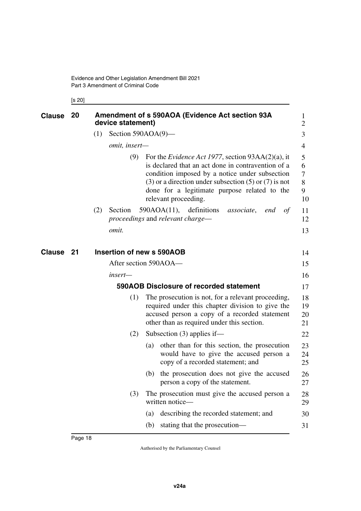<span id="page-19-5"></span><span id="page-19-1"></span><span id="page-19-0"></span>[s 20]

<span id="page-19-4"></span><span id="page-19-3"></span><span id="page-19-2"></span>

| <b>Clause</b> | 20 |     | device statement)         |     | Amendment of s 590AOA (Evidence Act section 93A                                                                                                                                                                                                                                                             | 1<br>$\overline{2}$         |
|---------------|----|-----|---------------------------|-----|-------------------------------------------------------------------------------------------------------------------------------------------------------------------------------------------------------------------------------------------------------------------------------------------------------------|-----------------------------|
|               |    | (1) | Section $590AOA(9)$ —     |     |                                                                                                                                                                                                                                                                                                             | 3                           |
|               |    |     | omit, insert-             |     |                                                                                                                                                                                                                                                                                                             | $\overline{4}$              |
|               |    |     | (9)                       |     | For the <i>Evidence Act 1977</i> , section $93AA(2)(a)$ , it<br>is declared that an act done in contravention of a<br>condition imposed by a notice under subsection<br>$(3)$ or a direction under subsection $(5)$ or $(7)$ is not<br>done for a legitimate purpose related to the<br>relevant proceeding. | 5<br>6<br>7<br>8<br>9<br>10 |
|               |    | (2) | Section                   |     | $590AOA(11)$ , definitions<br>of<br><i>associate</i> ,<br>end<br>proceedings and relevant charge—                                                                                                                                                                                                           | 11<br>12                    |
|               |    |     | omit.                     |     |                                                                                                                                                                                                                                                                                                             | 13                          |
| <b>Clause</b> | 21 |     | Insertion of new s 590AOB |     |                                                                                                                                                                                                                                                                                                             | 14                          |
|               |    |     | After section 590AOA—     |     |                                                                                                                                                                                                                                                                                                             | 15                          |
|               |    |     | insert-                   |     |                                                                                                                                                                                                                                                                                                             | 16                          |
|               |    |     |                           |     | 590AOB Disclosure of recorded statement                                                                                                                                                                                                                                                                     | 17                          |
|               |    |     | (1)                       |     | The prosecution is not, for a relevant proceeding,<br>required under this chapter division to give the<br>accused person a copy of a recorded statement<br>other than as required under this section.                                                                                                       | 18<br>19<br>20<br>21        |
|               |    |     | (2)                       |     | Subsection $(3)$ applies if—                                                                                                                                                                                                                                                                                | 22                          |
|               |    |     |                           | (a) | other than for this section, the prosecution<br>would have to give the accused person a<br>copy of a recorded statement; and                                                                                                                                                                                | 23<br>24<br>25              |
|               |    |     |                           |     | (b) the prosecution does not give the accused<br>person a copy of the statement.                                                                                                                                                                                                                            | 26<br>27                    |
|               |    |     | (3)                       |     | The prosecution must give the accused person a<br>written notice-                                                                                                                                                                                                                                           | 28<br>29                    |
|               |    |     |                           | (a) | describing the recorded statement; and                                                                                                                                                                                                                                                                      | 30                          |
|               |    |     |                           | (b) | stating that the prosecution-                                                                                                                                                                                                                                                                               | 31                          |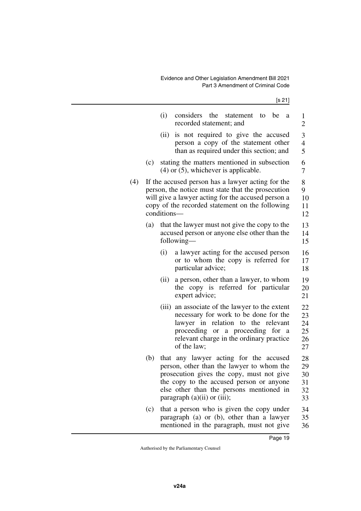|     |     | (i)<br>considers<br>the<br>statement<br>be<br>to<br>a<br>recorded statement; and                                                                                                                                                                             | 1<br>$\overline{c}$              |
|-----|-----|--------------------------------------------------------------------------------------------------------------------------------------------------------------------------------------------------------------------------------------------------------------|----------------------------------|
|     |     | is not required to give the accused<br>(ii)<br>person a copy of the statement other<br>than as required under this section; and                                                                                                                              | 3<br>$\overline{4}$<br>5         |
|     | (c) | stating the matters mentioned in subsection<br>$(4)$ or $(5)$ , whichever is applicable.                                                                                                                                                                     | 6<br>7                           |
| (4) |     | If the accused person has a lawyer acting for the<br>person, the notice must state that the prosecution<br>will give a lawyer acting for the accused person a<br>copy of the recorded statement on the following<br>conditions-                              | 8<br>9<br>10<br>11<br>12         |
|     | (a) | that the lawyer must not give the copy to the<br>accused person or anyone else other than the<br>following—                                                                                                                                                  | 13<br>14<br>15                   |
|     |     | (i)<br>a lawyer acting for the accused person<br>or to whom the copy is referred for<br>particular advice;                                                                                                                                                   | 16<br>17<br>18                   |
|     |     | a person, other than a lawyer, to whom<br>(ii)<br>copy is referred for particular<br>the<br>expert advice;                                                                                                                                                   | 19<br>20<br>21                   |
|     |     | an associate of the lawyer to the extent<br>(iii)<br>necessary for work to be done for the<br>relation to the relevant<br>lawyer in<br>proceeding or a proceeding for a<br>relevant charge in the ordinary practice<br>of the law;                           | 22<br>23<br>24<br>25<br>26<br>27 |
|     | (b) | that any lawyer acting for the accused<br>person, other than the lawyer to whom the<br>prosecution gives the copy, must not give<br>the copy to the accused person or anyone<br>else other than the persons mentioned in<br>paragraph $(a)(ii)$ or $(iii)$ ; | 28<br>29<br>30<br>31<br>32<br>33 |
|     | (c) | that a person who is given the copy under<br>paragraph (a) or (b), other than a lawyer<br>mentioned in the paragraph, must not give                                                                                                                          | 34<br>35<br>36                   |

36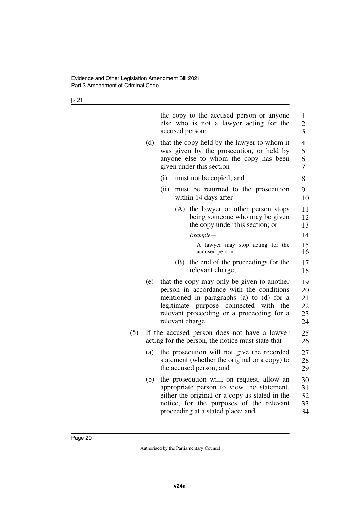[s 21]

|     |     | the copy to the accused person or anyone<br>else who is not a lawyer acting for the<br>accused person;                                                                                                                                       | 1<br>$\overline{c}$<br>3         |
|-----|-----|----------------------------------------------------------------------------------------------------------------------------------------------------------------------------------------------------------------------------------------------|----------------------------------|
|     | (d) | that the copy held by the lawyer to whom it<br>was given by the prosecution, or held by<br>anyone else to whom the copy has been<br>given under this section—                                                                                | 4<br>5<br>6<br>7                 |
|     |     | must not be copied; and<br>(i)                                                                                                                                                                                                               | 8                                |
|     |     | (ii)<br>must be returned to the prosecution<br>within 14 days after-                                                                                                                                                                         | 9<br>10                          |
|     |     | (A) the lawyer or other person stops<br>being someone who may be given<br>the copy under this section; or                                                                                                                                    | 11<br>12<br>13                   |
|     |     | Example-                                                                                                                                                                                                                                     | 14                               |
|     |     | A lawyer may stop acting for the<br>accused person.                                                                                                                                                                                          | 15<br>16                         |
|     |     | the end of the proceedings for the<br>(B)<br>relevant charge;                                                                                                                                                                                | 17<br>18                         |
|     | (e) | that the copy may only be given to another<br>person in accordance with the conditions<br>mentioned in paragraphs (a) to (d) for a<br>legitimate purpose connected with the<br>relevant proceeding or a proceeding for a<br>relevant charge. | 19<br>20<br>21<br>22<br>23<br>24 |
| (5) |     | If the accused person does not have a lawyer<br>acting for the person, the notice must state that—                                                                                                                                           | 25<br>26                         |
|     | (a) | the prosecution will not give the recorded<br>statement (whether the original or a copy) to<br>the accused person; and                                                                                                                       | 27<br>28<br>29                   |
|     | (b) | the prosecution will, on request, allow an<br>appropriate person to view the statement,<br>either the original or a copy as stated in the<br>notice, for the purposes of the relevant<br>proceeding at a stated place; and                   | 30<br>31<br>32<br>33<br>34       |
|     |     |                                                                                                                                                                                                                                              |                                  |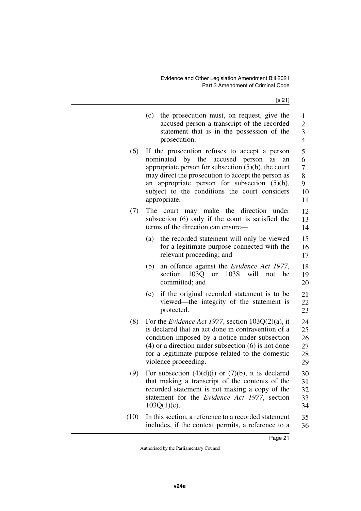[s 21]

|      | (c) | the prosecution must, on request, give the<br>accused person a transcript of the recorded<br>statement that is in the possession of the<br>prosecution.                                                                                                                                                                          | 1<br>$\overline{c}$<br>3<br>$\overline{4}$     |
|------|-----|----------------------------------------------------------------------------------------------------------------------------------------------------------------------------------------------------------------------------------------------------------------------------------------------------------------------------------|------------------------------------------------|
| (6)  |     | If the prosecution refuses to accept a person<br>nominated by the accused person<br>as<br>an<br>appropriate person for subsection $(5)(b)$ , the court<br>may direct the prosecution to accept the person as<br>an appropriate person for subsection $(5)(b)$ ,<br>subject to the conditions the court considers<br>appropriate. | 5<br>6<br>$\overline{7}$<br>8<br>9<br>10<br>11 |
| (7)  | The | court may make the<br>direction<br>under<br>subsection (6) only if the court is satisfied the<br>terms of the direction can ensure—                                                                                                                                                                                              | 12<br>13<br>14                                 |
|      | (a) | the recorded statement will only be viewed<br>for a legitimate purpose connected with the<br>relevant proceeding; and                                                                                                                                                                                                            | 15<br>16<br>17                                 |
|      | (b) | an offence against the Evidence Act 1977,<br>section<br>$103Q$ or<br>103S<br>will<br>not<br>be<br>committed; and                                                                                                                                                                                                                 | 18<br>19<br>20                                 |
|      | (c) | if the original recorded statement is to be<br>viewed—the integrity of the statement is<br>protected.                                                                                                                                                                                                                            | 21<br>22<br>23                                 |
| (8)  |     | For the <i>Evidence Act 1977</i> , section $103Q(2)(a)$ , it<br>is declared that an act done in contravention of a<br>condition imposed by a notice under subsection<br>$(4)$ or a direction under subsection $(6)$ is not done<br>for a legitimate purpose related to the domestic<br>violence proceeding.                      | 24<br>25<br>26<br>27<br>28<br>29               |
| (9)  |     | For subsection $(4)(d)(i)$ or $(7)(b)$ , it is declared<br>that making a transcript of the contents of the<br>recorded statement is not making a copy of the<br>statement for the <i>Evidence Act 1977</i> , section<br>$103Q(1)(c)$ .                                                                                           | 30<br>31<br>32<br>33<br>34                     |
| (10) |     | In this section, a reference to a recorded statement<br>includes, if the context permits, a reference to a                                                                                                                                                                                                                       | 35<br>36                                       |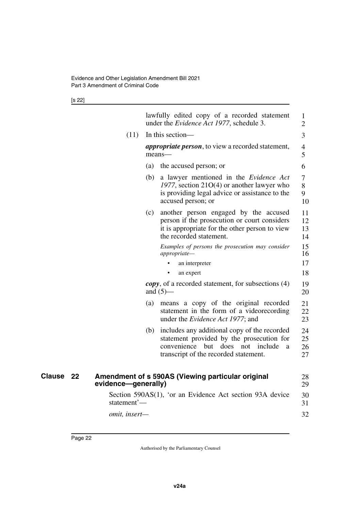#### [s 22]

<span id="page-23-1"></span><span id="page-23-0"></span>

|               |    |                     |     | lawfully edited copy of a recorded statement<br>under the <i>Evidence Act 1977</i> , schedule 3.                                                                               | 1<br>$\overline{2}$  |  |
|---------------|----|---------------------|-----|--------------------------------------------------------------------------------------------------------------------------------------------------------------------------------|----------------------|--|
|               |    | (11)                |     | In this section-                                                                                                                                                               |                      |  |
|               |    |                     |     | <i>appropriate person</i> , to view a recorded statement,<br>means-                                                                                                            | $\overline{4}$<br>5  |  |
|               |    |                     | (a) | the accused person; or                                                                                                                                                         | 6                    |  |
|               |    |                     | (b) | a lawyer mentioned in the Evidence Act<br>1977, section $21O(4)$ or another lawyer who<br>is providing legal advice or assistance to the<br>accused person; or                 | 7<br>8<br>9<br>10    |  |
|               |    |                     | (c) | another person engaged by the accused<br>person if the prosecution or court considers<br>it is appropriate for the other person to view<br>the recorded statement.             | 11<br>12<br>13<br>14 |  |
|               |    |                     |     | Examples of persons the prosecution may consider<br>appropriate—                                                                                                               | 15<br>16             |  |
|               |    |                     |     | an interpreter                                                                                                                                                                 | 17                   |  |
|               |    |                     |     | an expert                                                                                                                                                                      | 18                   |  |
|               |    |                     |     | <i>copy</i> , of a recorded statement, for subsections (4)<br>and $(5)$ —                                                                                                      | 19<br>20             |  |
|               |    |                     | (a) | means a copy of the original recorded<br>statement in the form of a videorecording<br>under the <i>Evidence Act 1977</i> ; and                                                 | 21<br>22<br>23       |  |
|               |    |                     | (b) | includes any additional copy of the recorded<br>statement provided by the prosecution for<br>convenience but does not<br>include<br>a<br>transcript of the recorded statement. | 24<br>25<br>26<br>27 |  |
| <b>Clause</b> | 22 | evidence-generally) |     | Amendment of s 590AS (Viewing particular original                                                                                                                              | 28<br>29             |  |
|               |    | statement'-         |     | Section 590AS(1), 'or an Evidence Act section 93A device                                                                                                                       | 30<br>31             |  |
|               |    | omit, insert-       |     |                                                                                                                                                                                | 32                   |  |
|               |    |                     |     |                                                                                                                                                                                |                      |  |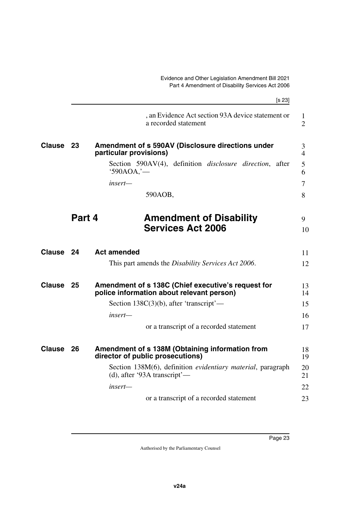<span id="page-24-9"></span><span id="page-24-8"></span><span id="page-24-7"></span><span id="page-24-6"></span><span id="page-24-5"></span><span id="page-24-4"></span><span id="page-24-3"></span><span id="page-24-2"></span><span id="page-24-1"></span><span id="page-24-0"></span>

|           | [s 23]                                                                                          |                                |
|-----------|-------------------------------------------------------------------------------------------------|--------------------------------|
|           | , an Evidence Act section 93A device statement or<br>a recorded statement                       | $\mathbf{1}$<br>$\overline{2}$ |
| - 23      | Amendment of s 590AV (Disclosure directions under<br>particular provisions)                     | 3<br>$\overline{4}$            |
|           | Section 590AV(4), definition <i>disclosure</i> direction, after<br>$'590AOA$ , $'$ —            | 5<br>6                         |
|           | insert—                                                                                         | 7                              |
|           | 590AOB,                                                                                         | 8                              |
|           | <b>Amendment of Disability</b>                                                                  | 9                              |
|           | <b>Services Act 2006</b>                                                                        | 10                             |
| Clause 24 | <b>Act amended</b>                                                                              | 11                             |
|           | This part amends the <i>Disability Services Act 2006</i> .                                      | 12                             |
| - 25      | Amendment of s 138C (Chief executive's request for<br>police information about relevant person) | 13<br>14                       |
|           | Section $138C(3)(b)$ , after 'transcript'—                                                      | 15                             |
|           | insert—                                                                                         | 16                             |
|           | or a transcript of a recorded statement                                                         | 17                             |
| 26        | Amendment of s 138M (Obtaining information from<br>director of public prosecutions)             | 18<br>19                       |
|           | Section 138M(6), definition evidentiary material, paragraph<br>(d), after '93A transcript'—     | 20<br>21                       |
|           | insert—                                                                                         | 22                             |
|           | or a transcript of a recorded statement                                                         | 23                             |
|           |                                                                                                 | Part 4                         |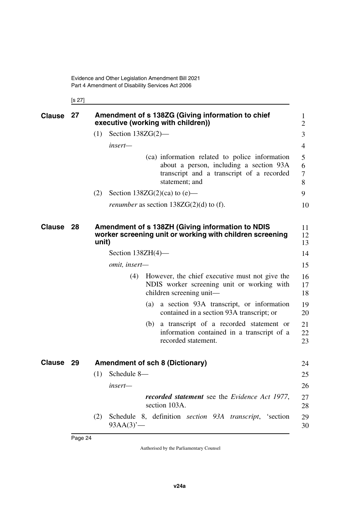<span id="page-25-3"></span><span id="page-25-1"></span><span id="page-25-0"></span>[s 27]

<span id="page-25-5"></span><span id="page-25-4"></span><span id="page-25-2"></span>

| <b>Clause</b> | 27  | Amendment of s 138ZG (Giving information to chief<br>executive (working with children))                                                                  | 1<br>2           |
|---------------|-----|----------------------------------------------------------------------------------------------------------------------------------------------------------|------------------|
|               |     | Section $138ZG(2)$ —<br>(1)                                                                                                                              | 3                |
|               |     | insert—                                                                                                                                                  | $\overline{4}$   |
|               |     | (ca) information related to police information<br>about a person, including a section 93A<br>transcript and a transcript of a recorded<br>statement; and | 5<br>6<br>7<br>8 |
|               |     | Section $138ZG(2)(ca)$ to $(e)$ —<br>(2)                                                                                                                 | 9                |
|               |     | <i>renumber</i> as section $138ZG(2)(d)$ to (f).                                                                                                         | 10               |
| <b>Clause</b> | -28 | Amendment of s 138ZH (Giving information to NDIS<br>worker screening unit or working with children screening<br>unit)                                    | 11<br>12<br>13   |
|               |     | Section $138ZH(4)$ —                                                                                                                                     | 14               |
|               |     | omit, insert-                                                                                                                                            | 15               |
|               |     | However, the chief executive must not give the<br>(4)<br>NDIS worker screening unit or working with<br>children screening unit-                          | 16<br>17<br>18   |
|               |     | a section 93A transcript, or information<br>(a)<br>contained in a section 93A transcript; or                                                             | 19<br>20         |
|               |     | a transcript of a recorded statement or<br>(b)<br>information contained in a transcript of a<br>recorded statement.                                      | 21<br>22<br>23   |
| Clause 29     |     | <b>Amendment of sch 8 (Dictionary)</b>                                                                                                                   | 24               |
|               |     | Schedule 8-<br>(1)                                                                                                                                       | 25               |
|               |     | insert-                                                                                                                                                  | 26               |
|               |     | recorded statement see the Evidence Act 1977,<br>section 103A.                                                                                           | 27<br>28         |
|               |     | Schedule 8, definition section 93A transcript, 'section<br>(2)<br>$93AA(3)$ <sup>'</sup> —                                                               | 29<br>30         |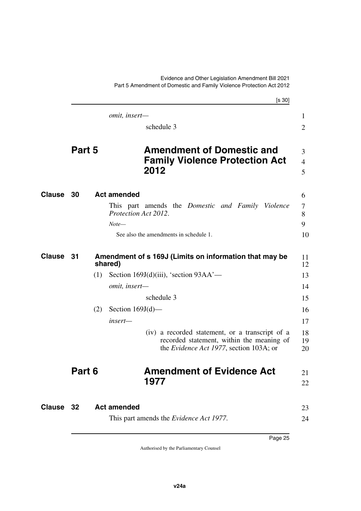<span id="page-26-9"></span><span id="page-26-8"></span><span id="page-26-6"></span><span id="page-26-5"></span><span id="page-26-4"></span><span id="page-26-3"></span><span id="page-26-2"></span><span id="page-26-0"></span>[s 30] Part 5 Amendment of Domestic and Family Violence Protection Act 2012 *omit, insert* schedule 3 **Part 5 Amendment of Domestic and Family Violence Protection Act 2012 Clause 30 Act amended** 6 This part amends the *Domestic and Family Violence Protection Act 2012*. *Note—* See also the amendments in schedule 1. **Clause** 31 Amendment of s 169J (Limits on information that may be 11 **shared)** (1) Section 169J(d)(iii), 'section  $93AA'$  *omit, insert* schedule 3  $(2)$  Section 169J $(d)$  *insert—* (iv) a recorded statement, or a transcript of a recorded statement, within the meaning of the *Evidence Act 1977*, section 103A; or **Part 6 Amendment of Evidence Act 1977 32 Act amended Clause** 23 This part amends the *Evidence Act 1977*. 1  $\mathfrak{D}$ 3 4 5 7 8 9 10 12 13 14 15 16 17 18 19 20 21 22 24

<span id="page-26-7"></span><span id="page-26-1"></span>Evidence and Other Legislation Amendment Bill 2021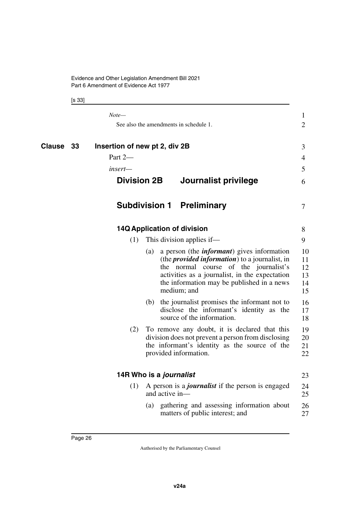<span id="page-27-9"></span><span id="page-27-8"></span><span id="page-27-7"></span><span id="page-27-6"></span><span id="page-27-5"></span><span id="page-27-4"></span><span id="page-27-3"></span><span id="page-27-2"></span><span id="page-27-1"></span><span id="page-27-0"></span>

|           | Note—                                    |                         | See also the amendments in schedule 1.                                                                                                                                                                                                                               | $\mathbf 1$<br>$\overline{2}$    |
|-----------|------------------------------------------|-------------------------|----------------------------------------------------------------------------------------------------------------------------------------------------------------------------------------------------------------------------------------------------------------------|----------------------------------|
| Clause 33 | Insertion of new pt 2, div 2B<br>Part 2- |                         |                                                                                                                                                                                                                                                                      | 3<br>$\overline{4}$              |
|           | insert—<br><b>Division 2B</b>            |                         | Journalist privilege                                                                                                                                                                                                                                                 | 5<br>6                           |
|           |                                          |                         | <b>Subdivision 1 Preliminary</b>                                                                                                                                                                                                                                     | 7                                |
|           |                                          |                         | <b>14Q Application of division</b>                                                                                                                                                                                                                                   | 8                                |
|           | (1)                                      |                         | This division applies if—                                                                                                                                                                                                                                            | 9                                |
|           |                                          | (a)                     | a person (the <i>informant</i> ) gives information<br>(the <i>provided information</i> ) to a journalist, in<br>the normal course of the journalist's<br>activities as a journalist, in the expectation<br>the information may be published in a news<br>medium; and | 10<br>11<br>12<br>13<br>14<br>15 |
|           |                                          |                         | (b) the journalist promises the informant not to<br>disclose the informant's identity as the<br>source of the information.                                                                                                                                           | 16<br>17<br>18                   |
|           | (2)                                      |                         | To remove any doubt, it is declared that this<br>division does not prevent a person from disclosing<br>the informant's identity as the source of the<br>provided information.                                                                                        | 19<br>20<br>21<br>22             |
|           |                                          | 14R Who is a journalist |                                                                                                                                                                                                                                                                      | 23                               |
|           | (1)                                      | and active in-          | A person is a <i>journalist</i> if the person is engaged                                                                                                                                                                                                             | 24<br>25                         |
|           |                                          | (a)                     | gathering and assessing information about<br>matters of public interest; and                                                                                                                                                                                         | 26<br>27                         |
|           |                                          |                         |                                                                                                                                                                                                                                                                      |                                  |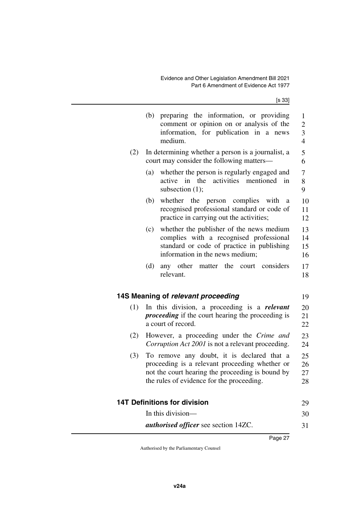<span id="page-28-3"></span><span id="page-28-2"></span><span id="page-28-1"></span><span id="page-28-0"></span>

|     | (b) preparing the information, or providing<br>comment or opinion on or analysis of the<br>information, for publication in a news<br>medium.                                                  | $\mathbf{1}$<br>$\overline{c}$<br>$\overline{\mathbf{3}}$<br>$\overline{4}$ |
|-----|-----------------------------------------------------------------------------------------------------------------------------------------------------------------------------------------------|-----------------------------------------------------------------------------|
| (2) | In determining whether a person is a journalist, a<br>court may consider the following matters-                                                                                               | 5<br>6                                                                      |
|     | whether the person is regularly engaged and<br>(a)<br>active in the<br>activities<br>mentioned in<br>subsection $(1)$ ;                                                                       | 7<br>8<br>9                                                                 |
|     | whether the person<br>complies<br>(b)<br>with<br>a<br>recognised professional standard or code of<br>practice in carrying out the activities;                                                 | 10<br>11<br>12                                                              |
|     | whether the publisher of the news medium<br>(c)<br>complies with a recognised professional<br>standard or code of practice in publishing<br>information in the news medium;                   | 13<br>14<br>15<br>16                                                        |
|     | any other<br>matter the<br>(d)<br>court<br>considers<br>relevant.                                                                                                                             | 17<br>18                                                                    |
|     | 14S Meaning of relevant proceeding                                                                                                                                                            | 19                                                                          |
| (1) | In this division, a proceeding is a <i>relevant</i><br><i>proceeding</i> if the court hearing the proceeding is<br>a court of record.                                                         | 20<br>21<br>22                                                              |
| (2) | However, a proceeding under the Crime and<br>Corruption Act 2001 is not a relevant proceeding.                                                                                                | 23<br>24                                                                    |
| (3) | To remove any doubt, it is declared that a<br>proceeding is a relevant proceeding whether or<br>not the court hearing the proceeding is bound by<br>the rules of evidence for the proceeding. | 25<br>26<br>27<br>28                                                        |
|     | <b>14T Definitions for division</b>                                                                                                                                                           | 29                                                                          |
|     | In this division-                                                                                                                                                                             | 30                                                                          |
|     | <i>authorised officer</i> see section 14ZC.                                                                                                                                                   | 31                                                                          |
|     | Page 27                                                                                                                                                                                       |                                                                             |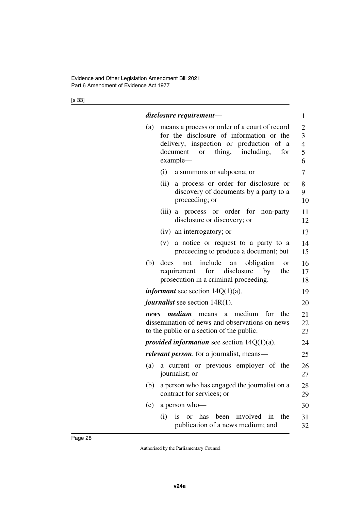|      | disclosure requirement—                                                                                                                                                                                  | 1                                               |
|------|----------------------------------------------------------------------------------------------------------------------------------------------------------------------------------------------------------|-------------------------------------------------|
| (a)  | means a process or order of a court of record<br>for the disclosure of information or the<br>delivery, inspection or production of a<br>thing,<br>including,<br>document<br>for<br><b>or</b><br>example- | $\overline{2}$<br>3<br>$\overline{4}$<br>5<br>6 |
|      | (i) a summons or subpoena; or                                                                                                                                                                            | 7                                               |
|      | a process or order for disclosure or<br>(ii)<br>discovery of documents by a party to a<br>proceeding; or                                                                                                 | 8<br>9<br>10                                    |
|      | (iii) a process or order for non-party<br>disclosure or discovery; or                                                                                                                                    | 11<br>12                                        |
|      | (iv) an interrogatory; or                                                                                                                                                                                | 13                                              |
|      | (v)<br>a notice or request to a party to a<br>proceeding to produce a document; but                                                                                                                      | 14<br>15                                        |
| (b)  | include an<br>obligation<br>does<br>not<br><b>or</b><br>requirement for disclosure by<br>the<br>prosecution in a criminal proceeding.                                                                    | 16<br>17<br>18                                  |
|      | <i>informant</i> see section $14Q(1)(a)$ .                                                                                                                                                               | 19                                              |
|      | <i>journalist</i> see section 14R(1).                                                                                                                                                                    | 20                                              |
| news | medium<br>means a medium<br>for<br>the<br>dissemination of news and observations on news<br>to the public or a section of the public.                                                                    | 21<br>22<br>23                                  |
|      | provided information see section $14Q(1)(a)$ .                                                                                                                                                           | 24                                              |
|      | <i>relevant person</i> , for a journalist, means—                                                                                                                                                        | 25                                              |
| (a)  | a current or previous employer of the<br>journalist; or                                                                                                                                                  | 26<br>27                                        |
| (b)  | a person who has engaged the journalist on a<br>contract for services; or                                                                                                                                | 28<br>29                                        |
| (c)  | a person who-                                                                                                                                                                                            | 30                                              |
|      | or has<br>involved<br>is<br>been<br>in<br>the<br>(i)<br>publication of a news medium; and                                                                                                                | 31<br>32                                        |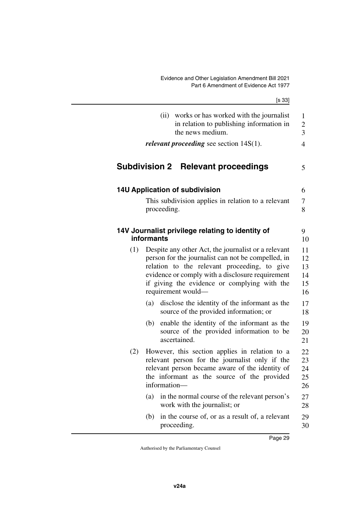<span id="page-30-5"></span><span id="page-30-4"></span><span id="page-30-3"></span><span id="page-30-2"></span><span id="page-30-1"></span><span id="page-30-0"></span>

|     | [s 33]                                                                                                                                                                                                                                                                              |                                     |
|-----|-------------------------------------------------------------------------------------------------------------------------------------------------------------------------------------------------------------------------------------------------------------------------------------|-------------------------------------|
|     | works or has worked with the journalist<br>(ii)<br>in relation to publishing information in<br>the news medium.                                                                                                                                                                     | $\mathbf{1}$<br>$\overline{c}$<br>3 |
|     | <i>relevant proceeding</i> see section $14S(1)$ .                                                                                                                                                                                                                                   | $\overline{4}$                      |
|     | Subdivision 2 Relevant proceedings                                                                                                                                                                                                                                                  | 5                                   |
|     | <b>14U Application of subdivision</b>                                                                                                                                                                                                                                               | 6                                   |
|     | This subdivision applies in relation to a relevant<br>proceeding.                                                                                                                                                                                                                   | 7<br>8                              |
|     | 14V Journalist privilege relating to identity of<br>informants                                                                                                                                                                                                                      | 9<br>10                             |
| (1) | Despite any other Act, the journalist or a relevant<br>person for the journalist can not be compelled, in<br>relation to the relevant proceeding, to give<br>evidence or comply with a disclosure requirement<br>if giving the evidence or complying with the<br>requirement would— | 11<br>12<br>13<br>14<br>15<br>16    |
|     | disclose the identity of the informant as the<br>(a)<br>source of the provided information; or                                                                                                                                                                                      | 17<br>18                            |
|     | enable the identity of the informant as the<br>(b)<br>source of the provided information to be<br>ascertained.                                                                                                                                                                      | 19<br>20<br>21                      |
| (2) | However, this section applies in relation to a<br>relevant person for the journalist only if the<br>relevant person became aware of the identity of<br>the informant as the source of the provided<br>information-                                                                  | 22<br>23<br>24<br>25<br>26          |
|     | in the normal course of the relevant person's<br>(a)<br>work with the journalist; or                                                                                                                                                                                                | 27<br>28                            |
|     | in the course of, or as a result of, a relevant<br>(b)<br>proceeding.                                                                                                                                                                                                               | 29<br>30                            |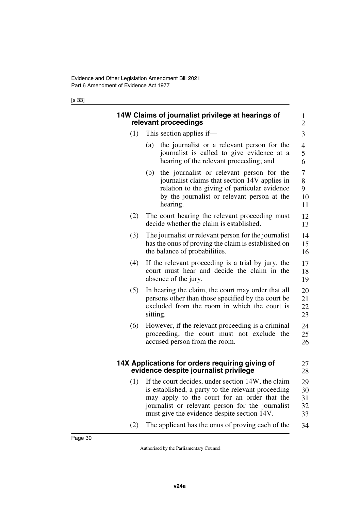<span id="page-31-3"></span><span id="page-31-2"></span><span id="page-31-1"></span><span id="page-31-0"></span>

|     | 14W Claims of journalist privilege at hearings of<br>relevant proceedings                                                                                                                                                                                       | 1<br>$\overline{2}$        |
|-----|-----------------------------------------------------------------------------------------------------------------------------------------------------------------------------------------------------------------------------------------------------------------|----------------------------|
| (1) | This section applies if—                                                                                                                                                                                                                                        | 3                          |
|     | the journalist or a relevant person for the<br>(a)<br>journalist is called to give evidence at a<br>hearing of the relevant proceeding; and                                                                                                                     | 4<br>5<br>6                |
|     | the journalist or relevant person for the<br>(b)<br>journalist claims that section 14V applies in<br>relation to the giving of particular evidence<br>by the journalist or relevant person at the<br>hearing.                                                   | 7<br>8<br>9<br>10<br>11    |
| (2) | The court hearing the relevant proceeding must<br>decide whether the claim is established.                                                                                                                                                                      | 12<br>13                   |
| (3) | The journalist or relevant person for the journalist<br>has the onus of proving the claim is established on<br>the balance of probabilities.                                                                                                                    | 14<br>15<br>16             |
| (4) | If the relevant proceeding is a trial by jury, the<br>court must hear and decide the claim in the<br>absence of the jury.                                                                                                                                       | 17<br>18<br>19             |
| (5) | In hearing the claim, the court may order that all<br>persons other than those specified by the court be<br>excluded from the room in which the court is<br>sitting.                                                                                            | 20<br>21<br>22<br>23       |
| (6) | However, if the relevant proceeding is a criminal<br>proceeding, the court must not exclude the<br>accused person from the room.                                                                                                                                | 24<br>25<br>26             |
|     | 14X Applications for orders requiring giving of<br>evidence despite journalist privilege                                                                                                                                                                        | 27<br>28                   |
|     | (1) If the court decides, under section 14W, the claim<br>is established, a party to the relevant proceeding<br>may apply to the court for an order that the<br>journalist or relevant person for the journalist<br>must give the evidence despite section 14V. | 29<br>30<br>31<br>32<br>33 |
| (2) | The applicant has the onus of proving each of the                                                                                                                                                                                                               | 34                         |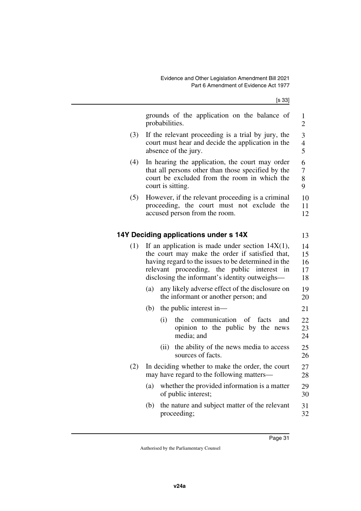<span id="page-32-1"></span><span id="page-32-0"></span>

|     | grounds of the application on the balance of<br>probabilities.                                                                                                                                                                                                   | $\mathbf{1}$<br>$\overline{2}$     |
|-----|------------------------------------------------------------------------------------------------------------------------------------------------------------------------------------------------------------------------------------------------------------------|------------------------------------|
| (3) | If the relevant proceeding is a trial by jury, the<br>court must hear and decide the application in the<br>absence of the jury.                                                                                                                                  | 3<br>$\overline{\mathcal{A}}$<br>5 |
| (4) | In hearing the application, the court may order<br>that all persons other than those specified by the<br>court be excluded from the room in which the<br>court is sitting.                                                                                       | 6<br>7<br>8<br>9                   |
| (5) | However, if the relevant proceeding is a criminal<br>proceeding, the court must not exclude<br>the<br>accused person from the room.                                                                                                                              | 10<br>11<br>12                     |
|     | 14Y Deciding applications under s 14X                                                                                                                                                                                                                            | 13                                 |
| (1) | If an application is made under section $14X(1)$ ,<br>the court may make the order if satisfied that,<br>having regard to the issues to be determined in the<br>relevant proceeding, the public interest<br>in<br>disclosing the informant's identity outweighs— | 14<br>15<br>16<br>17<br>18         |
|     | any likely adverse effect of the disclosure on<br>(a)<br>the informant or another person; and                                                                                                                                                                    | 19<br>20                           |
|     | (b)<br>the public interest in-                                                                                                                                                                                                                                   | 21                                 |
|     | communication<br>of<br>facts<br>(i)<br>the<br>and<br>opinion to the public by the news<br>media; and                                                                                                                                                             | 22<br>23<br>24                     |
|     | the ability of the news media to access<br>(ii)<br>sources of facts.                                                                                                                                                                                             | 25<br>26                           |
| (2) | In deciding whether to make the order, the court<br>may have regard to the following matters—                                                                                                                                                                    | 27<br>28                           |
|     | whether the provided information is a matter<br>(a)<br>of public interest;                                                                                                                                                                                       | 29<br>30                           |
|     | the nature and subject matter of the relevant<br>(b)<br>proceeding;                                                                                                                                                                                              | 31<br>32                           |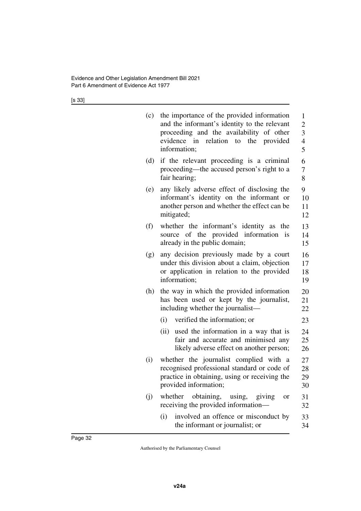| (c) | the importance of the provided information<br>and the informant's identity to the relevant<br>proceeding and the availability of other<br>relation to the provided<br>evidence in<br>information; | $\mathbf{1}$<br>$\overline{c}$<br>3<br>$\overline{\mathcal{L}}$<br>5 |
|-----|---------------------------------------------------------------------------------------------------------------------------------------------------------------------------------------------------|----------------------------------------------------------------------|
| (d) | if the relevant proceeding is a criminal<br>proceeding—the accused person's right to a<br>fair hearing;                                                                                           | 6<br>7<br>8                                                          |
| (e) | any likely adverse effect of disclosing the<br>informant's identity on the informant or<br>another person and whether the effect can be<br>mitigated;                                             | 9<br>10<br>11<br>12                                                  |
| (f) | whether the informant's identity as the<br>source of the provided information is<br>already in the public domain;                                                                                 | 13<br>14<br>15                                                       |
| (g) | any decision previously made by a court<br>under this division about a claim, objection<br>or application in relation to the provided<br>information;                                             | 16<br>17<br>18<br>19                                                 |
| (h) | the way in which the provided information<br>has been used or kept by the journalist,<br>including whether the journalist—                                                                        | 20<br>21<br>22                                                       |
|     | (i)<br>verified the information; or<br>used the information in a way that is<br>(ii)<br>fair and accurate and minimised any<br>likely adverse effect on another person;                           | 23<br>24<br>25<br>26                                                 |
| (i) | whether the journalist complied with a<br>recognised professional standard or code of<br>practice in obtaining, using or receiving the<br>provided information;                                   | 27<br>28<br>29<br>30                                                 |
| (j) | obtaining, using, giving<br>whether<br>or<br>receiving the provided information—                                                                                                                  | 31<br>32                                                             |
|     | involved an offence or misconduct by<br>(i)<br>the informant or journalist; or                                                                                                                    | 33<br>34                                                             |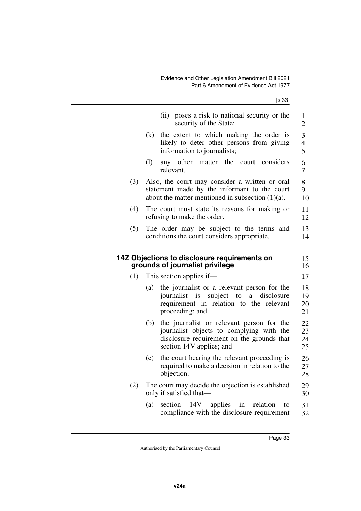<span id="page-34-1"></span><span id="page-34-0"></span>

|     | (ii)<br>poses a risk to national security or the<br>security of the State;                                                                                             | $\mathbf{1}$<br>$\overline{2}$     |
|-----|------------------------------------------------------------------------------------------------------------------------------------------------------------------------|------------------------------------|
|     | the extent to which making the order is<br>(k)<br>likely to deter other persons from giving<br>information to journalists;                                             | 3<br>$\overline{\mathcal{L}}$<br>5 |
|     | (1)<br>any other<br>matter the court considers<br>relevant.                                                                                                            | 6<br>$\overline{7}$                |
| (3) | Also, the court may consider a written or oral<br>statement made by the informant to the court<br>about the matter mentioned in subsection $(1)(a)$ .                  | 8<br>9<br>10                       |
| (4) | The court must state its reasons for making or<br>refusing to make the order.                                                                                          | 11<br>12                           |
| (5) | The order may be subject to the terms<br>and<br>conditions the court considers appropriate.                                                                            | 13<br>14                           |
|     | 14Z Objections to disclosure requirements on<br>grounds of journalist privilege                                                                                        | 15<br>16                           |
| (1) | This section applies if—                                                                                                                                               | 17                                 |
|     | the journalist or a relevant person for the<br>(a)<br>journalist is subject to<br>a disclosure<br>requirement in relation to the relevant<br>proceeding; and           | 18<br>19<br>20<br>21               |
|     | the journalist or relevant person for the<br>(b)<br>journalist objects to complying with the<br>disclosure requirement on the grounds that<br>section 14V applies; and | 22<br>23<br>24<br>25               |
|     | the court hearing the relevant proceeding is<br>(c)<br>required to make a decision in relation to the<br>objection.                                                    | 26<br>27<br>28                     |
| (2) | The court may decide the objection is established<br>only if satisfied that—                                                                                           | 29<br>30                           |
|     | 14V applies<br>(a)<br>section<br>relation<br>in<br>to<br>compliance with the disclosure requirement                                                                    | 31<br>32                           |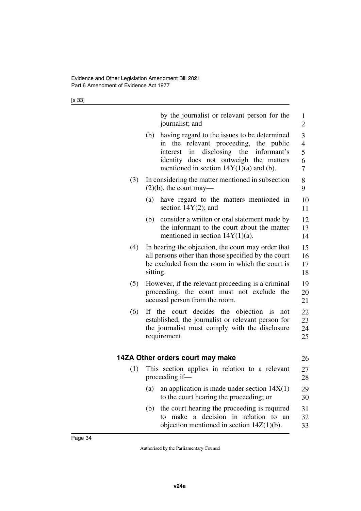<span id="page-35-1"></span><span id="page-35-0"></span>

|     | by the journalist or relevant person for the<br>journalist; and                                                                                                                                                                               | $\mathbf{1}$<br>$\overline{2}$               |
|-----|-----------------------------------------------------------------------------------------------------------------------------------------------------------------------------------------------------------------------------------------------|----------------------------------------------|
|     | having regard to the issues to be determined<br>(b)<br>relevant proceeding, the public<br>the<br>in<br>in disclosing<br>the<br>informant's<br>interest<br>identity does not outweigh the matters<br>mentioned in section $14Y(1)(a)$ and (b). | 3<br>$\overline{\mathcal{L}}$<br>5<br>6<br>7 |
| (3) | In considering the matter mentioned in subsection<br>$(2)(b)$ , the court may—                                                                                                                                                                | 8<br>9                                       |
|     | have regard to the matters mentioned in<br>(a)<br>section $14Y(2)$ ; and                                                                                                                                                                      | 10<br>11                                     |
|     | consider a written or oral statement made by<br>(b)<br>the informant to the court about the matter<br>mentioned in section $14Y(1)(a)$ .                                                                                                      | 12<br>13<br>14                               |
| (4) | In hearing the objection, the court may order that<br>all persons other than those specified by the court<br>be excluded from the room in which the court is<br>sitting.                                                                      | 15<br>16<br>17<br>18                         |
| (5) | However, if the relevant proceeding is a criminal<br>proceeding, the court must not exclude the<br>accused person from the room.                                                                                                              | 19<br>20<br>21                               |
| (6) | If the court decides the objection is<br>not<br>established, the journalist or relevant person for<br>the journalist must comply with the disclosure<br>requirement.                                                                          | 22<br>23<br>24<br>25                         |
|     | 14ZA Other orders court may make                                                                                                                                                                                                              | 26                                           |
| (1) | This section applies in relation to a relevant<br>proceeding if—                                                                                                                                                                              | 27<br>28                                     |
|     | an application is made under section $14X(1)$<br>(a)<br>to the court hearing the proceeding; or                                                                                                                                               | 29<br>30                                     |
|     | the court hearing the proceeding is required<br>(b)<br>make a decision in relation to<br>to<br>an<br>objection mentioned in section $14Z(1)(b)$ .                                                                                             | 31<br>32<br>33                               |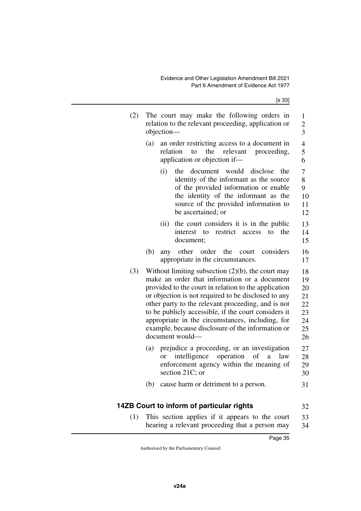| (2) | The court may make the following orders in<br>relation to the relevant proceeding, application or<br>objection-                                                                                                                                                                                                                                                                                                                                               |                                    |  |  |
|-----|---------------------------------------------------------------------------------------------------------------------------------------------------------------------------------------------------------------------------------------------------------------------------------------------------------------------------------------------------------------------------------------------------------------------------------------------------------------|------------------------------------|--|--|
|     | (a)<br>an order restricting access to a document in<br>the<br>relevant<br>relation<br>to<br>proceeding,<br>application or objection if-                                                                                                                                                                                                                                                                                                                       | $\overline{\mathcal{L}}$<br>5<br>6 |  |  |
|     | document would<br>(i)<br>disclose<br>the<br>the<br>identity of the informant as the source<br>of the provided information or enable<br>the identity of the informant as the<br>source of the provided information to<br>be ascertained; or                                                                                                                                                                                                                    | 7<br>8<br>9<br>10<br>11<br>12      |  |  |
|     | the court considers it is in the public<br>(ii)<br>restrict<br>the<br>interest<br>to<br>access<br>to<br>document;                                                                                                                                                                                                                                                                                                                                             | 13<br>14<br>15                     |  |  |
|     | order<br>the<br>considers<br>(b)<br>other<br>court<br>any<br>appropriate in the circumstances.                                                                                                                                                                                                                                                                                                                                                                | 16<br>17                           |  |  |
| (3) | Without limiting subsection $(2)(b)$ , the court may<br>make an order that information or a document<br>provided to the court in relation to the application<br>or objection is not required to be disclosed to any<br>other party to the relevant proceeding, and is not<br>to be publicly accessible, if the court considers it<br>appropriate in the circumstances, including, for<br>example, because disclosure of the information or<br>document would- |                                    |  |  |
|     | prejudice a proceeding, or an investigation<br>(a)<br>operation<br>intelligence<br>of<br>a.<br>law<br><sub>or</sub><br>enforcement agency within the meaning of<br>section 21C; or                                                                                                                                                                                                                                                                            | 27<br>28<br>29<br>30               |  |  |
|     | cause harm or detriment to a person.<br>(b)                                                                                                                                                                                                                                                                                                                                                                                                                   | 31                                 |  |  |
|     | 14ZB Court to inform of particular rights                                                                                                                                                                                                                                                                                                                                                                                                                     | 32                                 |  |  |

(1) This section applies if it appears to the court hearing a relevant proceeding that a person may 33 34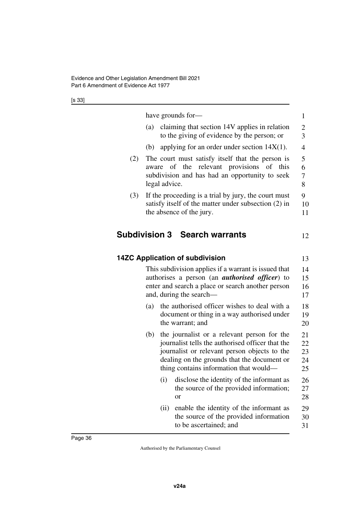|     | have grounds for-                                                                                                                                                                                                                               |
|-----|-------------------------------------------------------------------------------------------------------------------------------------------------------------------------------------------------------------------------------------------------|
|     | claiming that section 14V applies in relation<br>(a)<br>to the giving of evidence by the person; or                                                                                                                                             |
|     | applying for an order under section $14X(1)$ .<br>(b)                                                                                                                                                                                           |
| (2) | The court must satisfy itself that the person is<br>of the relevant provisions of<br>this<br>aware<br>subdivision and has had an opportunity to seek<br>legal advice.                                                                           |
| (3) | If the proceeding is a trial by jury, the court must<br>satisfy itself of the matter under subsection (2) in<br>the absence of the jury.                                                                                                        |
|     | <b>Subdivision 3 Search warrants</b>                                                                                                                                                                                                            |
|     | <b>14ZC Application of subdivision</b>                                                                                                                                                                                                          |
|     | This subdivision applies if a warrant is issued that<br>authorises a person (an <i>authorised officer</i> ) to<br>enter and search a place or search another person<br>and, during the search—                                                  |
|     | the authorised officer wishes to deal with a<br>(a)<br>document or thing in a way authorised under<br>the warrant; and                                                                                                                          |
|     | the journalist or a relevant person for the<br>(b)<br>journalist tells the authorised officer that the<br>journalist or relevant person objects to the<br>dealing on the grounds that the document or<br>thing contains information that would— |
|     | disclose the identity of the informant as<br>(i)<br>the source of the provided information;<br><b>or</b>                                                                                                                                        |
|     |                                                                                                                                                                                                                                                 |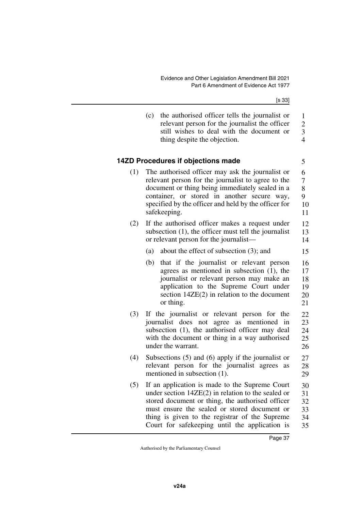|     | the authorised officer tells the journalist or<br>(c)<br>relevant person for the journalist the officer<br>still wishes to deal with the document or<br>thing despite the objection.                                                                                                                           | $\mathbf{1}$<br>$\overline{c}$<br>$\overline{\mathbf{3}}$<br>$\overline{4}$ |
|-----|----------------------------------------------------------------------------------------------------------------------------------------------------------------------------------------------------------------------------------------------------------------------------------------------------------------|-----------------------------------------------------------------------------|
|     | 14ZD Procedures if objections made                                                                                                                                                                                                                                                                             | 5                                                                           |
| (1) | The authorised officer may ask the journalist or<br>relevant person for the journalist to agree to the<br>document or thing being immediately sealed in a<br>container, or stored in another secure way,<br>specified by the officer and held by the officer for<br>safekeeping.                               | 6<br>$\overline{7}$<br>8<br>9<br>10<br>11                                   |
| (2) | If the authorised officer makes a request under<br>subsection (1), the officer must tell the journalist<br>or relevant person for the journalist—                                                                                                                                                              | 12<br>13<br>14                                                              |
|     | about the effect of subsection $(3)$ ; and<br>(a)                                                                                                                                                                                                                                                              | 15                                                                          |
|     | that if the journalist or relevant person<br>(b)<br>agrees as mentioned in subsection $(1)$ , the<br>journalist or relevant person may make an<br>application to the Supreme Court under<br>section $14ZE(2)$ in relation to the document<br>or thing.                                                         | 16<br>17<br>18<br>19<br>20<br>21                                            |
| (3) | If the journalist or relevant person for the<br>journalist does not agree as<br>mentioned in<br>subsection (1), the authorised officer may deal<br>with the document or thing in a way authorised<br>under the warrant.                                                                                        | 22<br>23<br>24<br>25<br>26                                                  |
| (4) | Subsections $(5)$ and $(6)$ apply if the journalist or<br>relevant person for the journalist agrees<br>as<br>mentioned in subsection (1).                                                                                                                                                                      | 27<br>28<br>29                                                              |
| (5) | If an application is made to the Supreme Court<br>under section $14ZE(2)$ in relation to the sealed or<br>stored document or thing, the authorised officer<br>must ensure the sealed or stored document or<br>thing is given to the registrar of the Supreme<br>Court for safekeeping until the application is | 30<br>31<br>32<br>33<br>34<br>35                                            |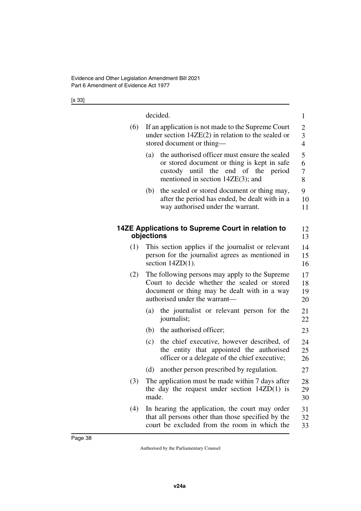| ۰.<br>×<br>۰,<br>× |
|--------------------|
|--------------------|

|     | decided.                                                                                                                                                                              | 1                    |  |
|-----|---------------------------------------------------------------------------------------------------------------------------------------------------------------------------------------|----------------------|--|
| (6) | If an application is not made to the Supreme Court<br>under section $14ZE(2)$ in relation to the sealed or<br>stored document or thing-                                               |                      |  |
|     | the authorised officer must ensure the sealed<br>(a)<br>or stored document or thing is kept in safe<br>custody until the end of the<br>period<br>mentioned in section $14ZE(3)$ ; and | 5<br>6<br>7<br>8     |  |
|     | the sealed or stored document or thing may,<br>(b)<br>after the period has ended, be dealt with in a<br>way authorised under the warrant.                                             | 9<br>10<br>11        |  |
|     | 14ZE Applications to Supreme Court in relation to<br>objections                                                                                                                       | 12<br>13             |  |
| (1) | This section applies if the journalist or relevant<br>person for the journalist agrees as mentioned in<br>section $14ZD(1)$ .                                                         | 14<br>15<br>16       |  |
| (2) | The following persons may apply to the Supreme<br>Court to decide whether the sealed or stored<br>document or thing may be dealt with in a way<br>authorised under the warrant—       | 17<br>18<br>19<br>20 |  |
|     | the journalist or relevant person for the<br>(a)<br>journalist;                                                                                                                       | 21<br>22             |  |
|     | (b) the authorised officer;                                                                                                                                                           | 23                   |  |
|     | the chief executive, however described, of<br>(c)<br>the entity that appointed the authorised<br>officer or a delegate of the chief executive;                                        | 24<br>25<br>26       |  |
|     | another person prescribed by regulation.<br>(d)                                                                                                                                       | 27                   |  |
| (3) | The application must be made within 7 days after<br>the day the request under section $14ZD(1)$ is<br>made.                                                                           | 28<br>29<br>30       |  |
| (4) | In hearing the application, the court may order<br>that all persons other than those specified by the<br>court be excluded from the room in which the                                 | 31<br>32<br>33       |  |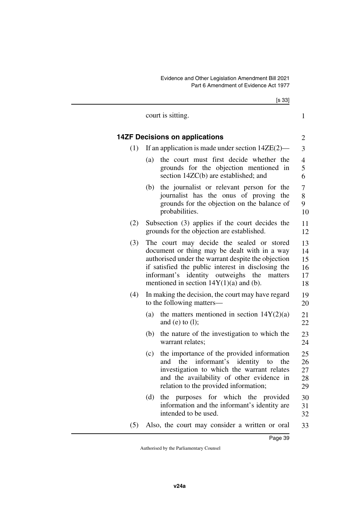|     | [s 33]                                                                                                                                                                                                                                                                                              |                                  |
|-----|-----------------------------------------------------------------------------------------------------------------------------------------------------------------------------------------------------------------------------------------------------------------------------------------------------|----------------------------------|
|     | court is sitting.                                                                                                                                                                                                                                                                                   | 1                                |
|     | <b>14ZF Decisions on applications</b>                                                                                                                                                                                                                                                               | $\overline{c}$                   |
| (1) | If an application is made under section $14ZE(2)$ —                                                                                                                                                                                                                                                 | 3                                |
|     | the court must first decide whether the<br>(a)<br>grounds for the objection mentioned in<br>section 14ZC(b) are established; and                                                                                                                                                                    | $\overline{4}$<br>5<br>6         |
|     | the journalist or relevant person for the<br>(b)<br>journalist has the onus of proving the<br>grounds for the objection on the balance of<br>probabilities.                                                                                                                                         | 7<br>8<br>9<br>10                |
| (2) | Subsection (3) applies if the court decides the<br>grounds for the objection are established.                                                                                                                                                                                                       | 11<br>12                         |
| (3) | The court may decide the sealed or stored<br>document or thing may be dealt with in a way<br>authorised under the warrant despite the objection<br>if satisfied the public interest in disclosing the<br>informant's identity outweighs the<br>matters<br>mentioned in section $14Y(1)(a)$ and (b). | 13<br>14<br>15<br>16<br>17<br>18 |
| (4) | In making the decision, the court may have regard<br>to the following matters—                                                                                                                                                                                                                      | 19<br>20                         |
|     | the matters mentioned in section $14Y(2)(a)$<br>(a)<br>and (e) to $(l)$ ;                                                                                                                                                                                                                           | 21<br>22                         |
|     | the nature of the investigation to which the<br>(b)<br>warrant relates;                                                                                                                                                                                                                             | 23<br>24                         |
|     | the importance of the provided information<br>(c)<br>and the informant's identity to the<br>investigation to which the warrant relates<br>and the availability of other evidence in<br>relation to the provided information;                                                                        | 25<br>26<br>27<br>28<br>29       |
|     | the purposes for which the provided<br>(d)<br>information and the informant's identity are<br>intended to be used.                                                                                                                                                                                  | 30<br>31<br>32                   |
| (5) | Also, the court may consider a written or oral                                                                                                                                                                                                                                                      | 33                               |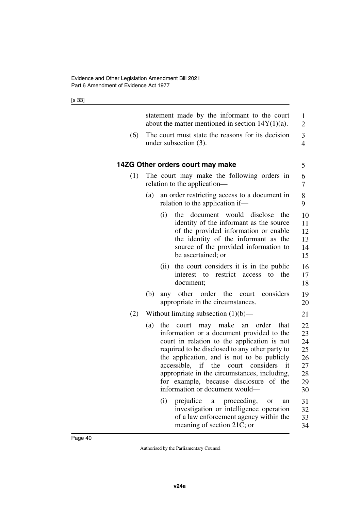|     | statement made by the informant to the court<br>about the matter mentioned in section $14Y(1)(a)$ .                                                                                                                                                                                                                                                                                                                              | $\mathbf{1}$<br>2                                  |
|-----|----------------------------------------------------------------------------------------------------------------------------------------------------------------------------------------------------------------------------------------------------------------------------------------------------------------------------------------------------------------------------------------------------------------------------------|----------------------------------------------------|
| (6) | The court must state the reasons for its decision<br>under subsection $(3)$ .                                                                                                                                                                                                                                                                                                                                                    | 3<br>$\overline{4}$                                |
|     | 14ZG Other orders court may make                                                                                                                                                                                                                                                                                                                                                                                                 | 5                                                  |
| (1) | The court may make the following orders in<br>relation to the application—                                                                                                                                                                                                                                                                                                                                                       | 6<br>7                                             |
|     | an order restricting access to a document in<br>(a)<br>relation to the application if—                                                                                                                                                                                                                                                                                                                                           | 8<br>9                                             |
|     | (i)<br>document would disclose<br>the<br>the<br>identity of the informant as the source<br>of the provided information or enable<br>the identity of the informant as the<br>source of the provided information to<br>be ascertained; or                                                                                                                                                                                          | 10<br>11<br>12<br>13<br>14<br>15                   |
|     | the court considers it is in the public<br>(ii)<br>restrict<br>to<br>interest to<br>access<br>the<br>document;                                                                                                                                                                                                                                                                                                                   | 16<br>17<br>18                                     |
|     | any other order the<br>(b)<br>considers<br>court<br>appropriate in the circumstances.                                                                                                                                                                                                                                                                                                                                            | 19<br>20                                           |
| (2) | Without limiting subsection $(1)(b)$ —                                                                                                                                                                                                                                                                                                                                                                                           | 21                                                 |
|     | may make an<br>(a)<br>the<br>court<br>order<br>that<br>information or a document provided to the<br>court in relation to the application is not<br>required to be disclosed to any other party to<br>the application, and is not to be publicly<br>accessible, if<br>the<br>considers<br>it<br>court<br>appropriate in the circumstances, including,<br>for example, because disclosure of the<br>information or document would— | 22<br>23<br>24<br>25<br>26<br>27<br>28<br>29<br>30 |
|     | prejudice a proceeding,<br>(i)<br>or<br>an<br>investigation or intelligence operation<br>of a law enforcement agency within the<br>meaning of section 21C; or                                                                                                                                                                                                                                                                    | 31<br>32<br>33<br>34                               |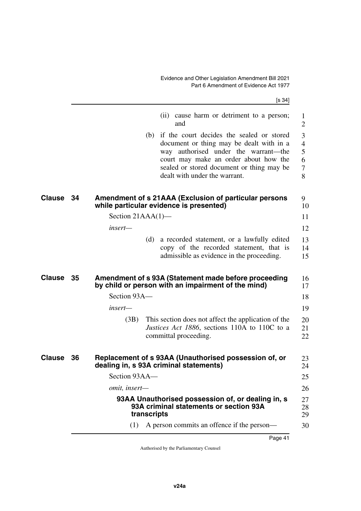|               |    |                      | [s 34]                                                                                                                                                                                                                                                   |                                         |
|---------------|----|----------------------|----------------------------------------------------------------------------------------------------------------------------------------------------------------------------------------------------------------------------------------------------------|-----------------------------------------|
|               |    |                      | (ii) cause harm or detriment to a person;<br>and                                                                                                                                                                                                         | 1<br>$\overline{2}$                     |
|               |    |                      | (b) if the court decides the sealed or stored<br>document or thing may be dealt with in a<br>way authorised under the warrant—the<br>court may make an order about how the<br>sealed or stored document or thing may be<br>dealt with under the warrant. | 3<br>$\overline{4}$<br>5<br>6<br>7<br>8 |
| Clause        | 34 |                      | Amendment of s 21AAA (Exclusion of particular persons<br>while particular evidence is presented)                                                                                                                                                         | 9<br>10                                 |
|               |    | Section $21AAA(1)$ — |                                                                                                                                                                                                                                                          | 11                                      |
|               |    | insert—              |                                                                                                                                                                                                                                                          | 12                                      |
|               |    | (d)                  | a recorded statement, or a lawfully edited<br>copy of the recorded statement, that is<br>admissible as evidence in the proceeding.                                                                                                                       | 13<br>14<br>15                          |
| <b>Clause</b> | 35 |                      | Amendment of s 93A (Statement made before proceeding<br>by child or person with an impairment of the mind)                                                                                                                                               | 16<br>17                                |
|               |    | Section 93A—         |                                                                                                                                                                                                                                                          | 18                                      |
|               |    | insert—              |                                                                                                                                                                                                                                                          | 19                                      |
|               |    | (3B)                 | This section does not affect the application of the<br><i>Justices Act 1886</i> , sections 110A to 110C to a<br>committal proceeding.                                                                                                                    | 20<br>21<br>22                          |
| <b>Clause</b> | 36 |                      | Replacement of s 93AA (Unauthorised possession of, or<br>dealing in, s 93A criminal statements)                                                                                                                                                          | 23<br>24                                |
|               |    | Section 93AA-        |                                                                                                                                                                                                                                                          | 25                                      |
|               |    | omit, insert-        |                                                                                                                                                                                                                                                          | 26                                      |
|               |    | transcripts          | 93AA Unauthorised possession of, or dealing in, s<br>93A criminal statements or section 93A                                                                                                                                                              | 27<br>28<br>29                          |
|               |    | (1)                  | A person commits an offence if the person—                                                                                                                                                                                                               | 30                                      |
|               |    |                      |                                                                                                                                                                                                                                                          |                                         |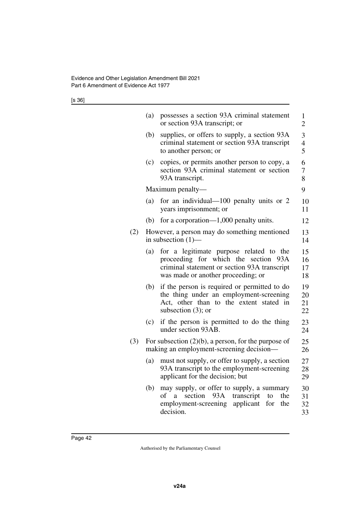[s 36]

|     | (a) | possesses a section 93A criminal statement<br>or section 93A transcript; or                                                                                              | $\mathbf{1}$<br>$\overline{2}$ |
|-----|-----|--------------------------------------------------------------------------------------------------------------------------------------------------------------------------|--------------------------------|
|     | (b) | supplies, or offers to supply, a section 93A<br>criminal statement or section 93A transcript<br>to another person; or                                                    | $\mathfrak{Z}$<br>4<br>5       |
|     | (c) | copies, or permits another person to copy, a<br>section 93A criminal statement or section<br>93A transcript.                                                             | 6<br>7<br>8                    |
|     |     | Maximum penalty—                                                                                                                                                         | 9                              |
|     | (a) | for an individual— $100$ penalty units or 2<br>years imprisonment; or                                                                                                    | 10<br>11                       |
|     | (b) | for a corporation— $1,000$ penalty units.                                                                                                                                | 12                             |
| (2) |     | However, a person may do something mentioned<br>in subsection $(1)$ —                                                                                                    | 13<br>14                       |
|     | (a) | for a legitimate purpose related to the<br>proceeding for which the section<br>93A<br>criminal statement or section 93A transcript<br>was made or another proceeding; or | 15<br>16<br>17<br>18           |
|     | (b) | if the person is required or permitted to do<br>the thing under an employment-screening<br>Act, other than to the extent stated in<br>subsection $(3)$ ; or              | 19<br>20<br>21<br>22           |
|     | (c) | if the person is permitted to do the thing<br>under section 93AB.                                                                                                        | 23<br>24                       |
| (3) |     | For subsection $(2)(b)$ , a person, for the purpose of<br>making an employment-screening decision—                                                                       | 25<br>26                       |
|     | (a) | must not supply, or offer to supply, a section<br>93A transcript to the employment-screening<br>applicant for the decision; but                                          | 27<br>28<br>29                 |
|     | (b) | may supply, or offer to supply, a summary<br>93A<br>of<br>section<br>transcript<br>a<br>to<br>the<br>employment-screening<br>applicant<br>for<br>the<br>decision.        | 30<br>31<br>32<br>33           |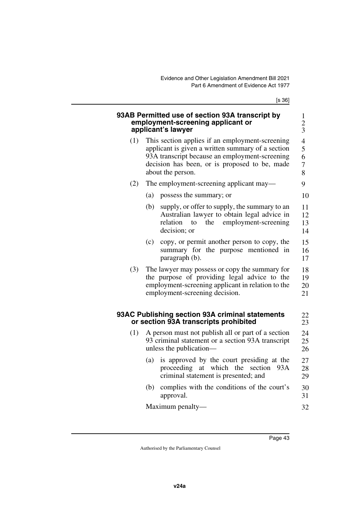[s 36]

|     | 93AB Permitted use of section 93A transcript by<br>employment-screening applicant or<br>applicant's lawyer                                                                                                                   | 1<br>$\frac{2}{3}$                                        |
|-----|------------------------------------------------------------------------------------------------------------------------------------------------------------------------------------------------------------------------------|-----------------------------------------------------------|
| (1) | This section applies if an employment-screening<br>applicant is given a written summary of a section<br>93A transcript because an employment-screening<br>decision has been, or is proposed to be, made<br>about the person. | $\overline{\mathcal{L}}$<br>5<br>6<br>$\overline{7}$<br>8 |
| (2) | The employment-screening applicant may—                                                                                                                                                                                      | 9                                                         |
|     | possess the summary; or<br>(a)                                                                                                                                                                                               | 10                                                        |
|     | (b)<br>supply, or offer to supply, the summary to an<br>Australian lawyer to obtain legal advice in<br>relation<br>the<br>employment-screening<br>to<br>decision; or                                                         | 11<br>12<br>13<br>14                                      |
|     | copy, or permit another person to copy, the<br>(c)<br>summary for the purpose mentioned in<br>paragraph (b).                                                                                                                 | 15<br>16<br>17                                            |
| (3) | The lawyer may possess or copy the summary for<br>the purpose of providing legal advice to the<br>employment-screening applicant in relation to the<br>employment-screening decision.                                        | 18<br>19<br>20<br>21                                      |
|     | 93AC Publishing section 93A criminal statements<br>or section 93A transcripts prohibited                                                                                                                                     | 22<br>23                                                  |
| (1) | A person must not publish all or part of a section<br>93 criminal statement or a section 93A transcript<br>unless the publication-                                                                                           | 24<br>25<br>26                                            |
|     | is approved by the court presiding at the<br>(a)<br>proceeding<br>at which the<br>section<br>93A<br>criminal statement is presented; and                                                                                     | 27<br>28<br>29                                            |
|     | complies with the conditions of the court's<br>(b)<br>approval.                                                                                                                                                              | 30<br>31                                                  |
|     | Maximum penalty—                                                                                                                                                                                                             | 32                                                        |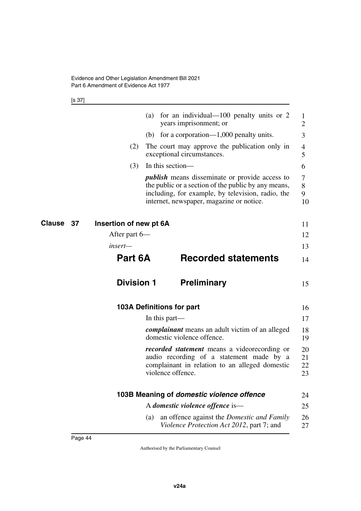|         | for an individual— $100$ penalty units or 2<br>(a)<br>years imprisonment; or                                                                                                                                  | $\bf{l}$<br>$\overline{2}$                                                                                  |
|---------|---------------------------------------------------------------------------------------------------------------------------------------------------------------------------------------------------------------|-------------------------------------------------------------------------------------------------------------|
|         | (b) for a corporation— $1,000$ penalty units.                                                                                                                                                                 | 3                                                                                                           |
| (2)     | The court may approve the publication only in<br>exceptional circumstances.                                                                                                                                   | 4<br>5                                                                                                      |
| (3)     | In this section—                                                                                                                                                                                              | 6                                                                                                           |
|         | <i>publish</i> means disseminate or provide access to<br>the public or a section of the public by any means,<br>including, for example, by television, radio, the<br>internet, newspaper, magazine or notice. | 7<br>8<br>9<br>10                                                                                           |
|         |                                                                                                                                                                                                               | 11                                                                                                          |
|         |                                                                                                                                                                                                               | 12                                                                                                          |
| insert- |                                                                                                                                                                                                               | 13                                                                                                          |
|         | <b>Recorded statements</b>                                                                                                                                                                                    | 14                                                                                                          |
|         | <b>Preliminary</b>                                                                                                                                                                                            | 15                                                                                                          |
|         |                                                                                                                                                                                                               | 16                                                                                                          |
|         | In this part—                                                                                                                                                                                                 | 17                                                                                                          |
|         | <i>complainant</i> means an adult victim of an alleged<br>domestic violence offence.                                                                                                                          | 18<br>19                                                                                                    |
|         | <i>recorded statement</i> means a videorecording or<br>audio recording of a statement made by a<br>complainant in relation to an alleged domestic<br>violence offence.                                        | 20<br>21<br>22<br>23                                                                                        |
|         |                                                                                                                                                                                                               |                                                                                                             |
|         | 103B Meaning of domestic violence offence                                                                                                                                                                     | 24                                                                                                          |
|         | A domestic violence offence is—                                                                                                                                                                               | 25                                                                                                          |
|         |                                                                                                                                                                                                               | Insertion of new pt 6A<br>After part 6—<br>Part 6A<br><b>Division 1</b><br><b>103A Definitions for part</b> |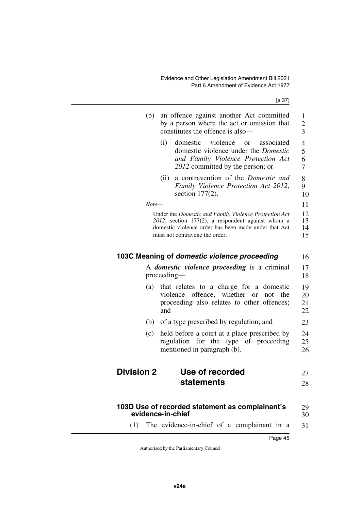Page 45

| (b)               | an offence against another Act committed<br>by a person where the act or omission that<br>constitutes the offence is also-                                                                              | 1<br>$\overline{c}$<br>3      |
|-------------------|---------------------------------------------------------------------------------------------------------------------------------------------------------------------------------------------------------|-------------------------------|
|                   | violence<br>(i)<br>domestic<br>associated<br>$\alpha$<br>domestic violence under the <i>Domestic</i><br>and Family Violence Protection Act<br>2012 committed by the person; or                          | 4<br>5<br>6<br>$\overline{7}$ |
|                   | a contravention of the Domestic and<br>(ii)<br>Family Violence Protection Act 2012,<br>section $177(2)$ .                                                                                               | 8<br>9<br>10                  |
|                   | Note—                                                                                                                                                                                                   | 11                            |
|                   | Under the Domestic and Family Violence Protection Act<br>$2012$ , section 177(2), a respondent against whom a<br>domestic violence order has been made under that Act<br>must not contravene the order. | 12<br>13<br>14<br>15          |
|                   | 103C Meaning of domestic violence proceeding                                                                                                                                                            | 16                            |
|                   | A <i>domestic violence proceeding</i> is a criminal<br>proceeding-                                                                                                                                      | 17<br>18                      |
| (a)               | that relates to a charge for a domestic<br>offence, whether<br>violence<br>not<br>the<br><b>or</b><br>proceeding also relates to other offences;<br>and                                                 | 19<br>20<br>21<br>22          |
|                   | (b) of a type prescribed by regulation; and                                                                                                                                                             | 23                            |
| (c)               | held before a court at a place prescribed by<br>for the type of proceeding<br>regulation<br>mentioned in paragraph (b).                                                                                 | 24<br>25<br>26                |
| <b>Division 2</b> | Use of recorded                                                                                                                                                                                         | 27                            |
|                   | statements                                                                                                                                                                                              | 28                            |
|                   | 103D Use of recorded statement as complainant's<br>evidence-in-chief                                                                                                                                    | 29                            |
|                   |                                                                                                                                                                                                         | 30                            |
| (1)               | The evidence-in-chief of a complainant in a                                                                                                                                                             | 31                            |

Authorised by the Parliamentary Counsel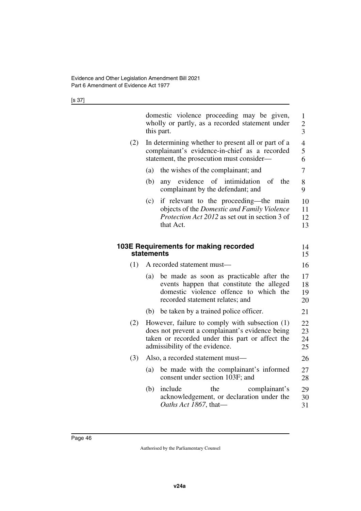|     | domestic violence proceeding may be given,<br>wholly or partly, as a recorded statement under<br>this part.                                                                            | $\mathbf{1}$<br>$\overline{c}$<br>3 |
|-----|----------------------------------------------------------------------------------------------------------------------------------------------------------------------------------------|-------------------------------------|
| (2) | In determining whether to present all or part of a<br>complainant's evidence-in-chief as a recorded<br>statement, the prosecution must consider—                                       | $\overline{\mathcal{L}}$<br>5<br>6  |
|     | the wishes of the complainant; and<br>(a)                                                                                                                                              | 7                                   |
|     | any evidence of intimidation<br>(b)<br>of<br>the<br>complainant by the defendant; and                                                                                                  | 8<br>9                              |
|     | if relevant to the proceeding—the main<br>(c)<br>objects of the Domestic and Family Violence<br>Protection Act 2012 as set out in section 3 of<br>that Act.                            | 10<br>11<br>12<br>13                |
|     | 103E Requirements for making recorded<br>statements                                                                                                                                    | 14<br>15                            |
| (1) | A recorded statement must-                                                                                                                                                             | 16                                  |
|     | be made as soon as practicable after the<br>(a)<br>events happen that constitute the alleged<br>domestic violence offence to which the<br>recorded statement relates; and              | 17<br>18<br>19<br>20                |
|     | (b) be taken by a trained police officer.                                                                                                                                              | 21                                  |
| (2) | However, failure to comply with subsection (1)<br>does not prevent a complainant's evidence being<br>taken or recorded under this part or affect the<br>admissibility of the evidence. | 22<br>23<br>24<br>25                |
| (3) | Also, a recorded statement must-                                                                                                                                                       | 26                                  |
|     | be made with the complainant's informed<br>(a)<br>consent under section 103F; and                                                                                                      | 27<br>28                            |
|     | include<br>the<br>(b)<br>complainant's<br>acknowledgement, or declaration under the<br>Oaths Act 1867, that-                                                                           | 29<br>30<br>31                      |
|     |                                                                                                                                                                                        |                                     |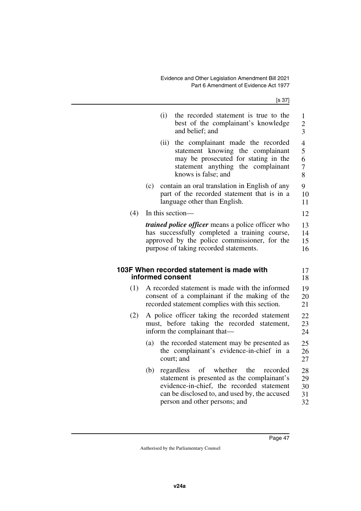|     |     | (i)<br>the recorded statement is true to the<br>best of the complainant's knowledge<br>and belief; and                                                                              | $\mathbf{1}$<br>$\overline{c}$<br>$\overline{3}$ |
|-----|-----|-------------------------------------------------------------------------------------------------------------------------------------------------------------------------------------|--------------------------------------------------|
|     |     | the complainant made the recorded<br>(ii)<br>statement knowing the complainant<br>may be prosecuted for stating in the<br>statement anything the complainant<br>knows is false; and | $\overline{4}$<br>5<br>6<br>$\overline{7}$<br>8  |
|     | (c) | contain an oral translation in English of any<br>part of the recorded statement that is in a<br>language other than English.                                                        | 9<br>10<br>11                                    |
| (4) |     | In this section-                                                                                                                                                                    | 12                                               |
|     |     | <i>trained police officer</i> means a police officer who<br>has successfully completed a training course,                                                                           | 13<br>14                                         |
|     |     | approved by the police commissioner, for the<br>purpose of taking recorded statements.                                                                                              | 15<br>16                                         |
|     |     | 103F When recorded statement is made with<br>informed consent                                                                                                                       | 17<br>18                                         |
| (1) |     | A recorded statement is made with the informed<br>consent of a complainant if the making of the<br>recorded statement complies with this section.                                   | 19<br>20<br>21                                   |
| (2) |     | A police officer taking the recorded statement<br>must, before taking the recorded statement,<br>inform the complainant that—                                                       | 22<br>23<br>24                                   |
|     | (a) | the recorded statement may be presented as<br>the complainant's evidence-in-chief in a<br>court; and                                                                                | 25<br>26<br>27                                   |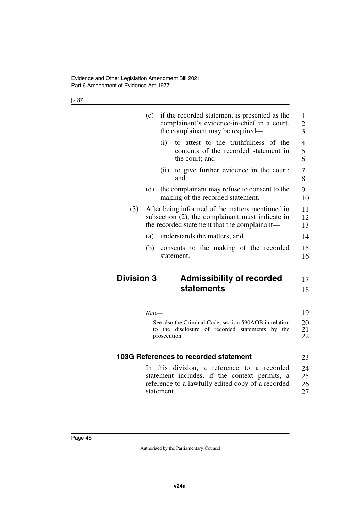|                   | (c)   | if the recorded statement is presented as the<br>complainant's evidence-in-chief in a court,<br>the complainant may be required—                        | $\mathbf{1}$<br>$\overline{c}$<br>$\overline{3}$ |
|-------------------|-------|---------------------------------------------------------------------------------------------------------------------------------------------------------|--------------------------------------------------|
|                   |       | attest to the truthfulness of the<br>(i)<br>to<br>contents of the recorded statement in<br>the court; and                                               | $\overline{4}$<br>5<br>6                         |
|                   |       | to give further evidence in the court;<br>(i)<br>and                                                                                                    | 7<br>8                                           |
|                   | (d)   | the complainant may refuse to consent to the<br>making of the recorded statement.                                                                       | 9<br>10                                          |
| (3)               |       | After being informed of the matters mentioned in<br>subsection $(2)$ , the complainant must indicate in<br>the recorded statement that the complainant— | 11<br>12<br>13                                   |
|                   | (a)   | understands the matters; and                                                                                                                            | 14                                               |
|                   | (b)   | consents to the making of the recorded<br>statement.                                                                                                    | 15<br>16                                         |
| <b>Division 3</b> |       | <b>Admissibility of recorded</b>                                                                                                                        | 17                                               |
|                   |       | statements                                                                                                                                              | 18                                               |
|                   | Note— |                                                                                                                                                         | 19                                               |
|                   |       | See also the Criminal Code, section 590AOB in relation<br>to the disclosure of recorded statements by the<br>prosecution.                               | 20<br>21<br>22                                   |
|                   |       | 103G References to recorded statement                                                                                                                   | 23                                               |

In this division, a reference to a recorded statement includes, if the context permits, a reference to a lawfully edited copy of a recorded statement. 24 25 26 27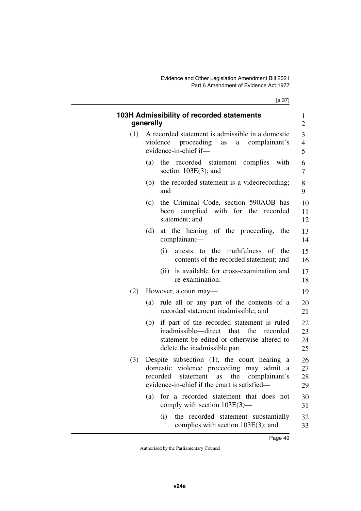|     | 103H Admissibility of recorded statements<br>generally                                                                                                                                                  | 1<br>$\overline{2}$     |
|-----|---------------------------------------------------------------------------------------------------------------------------------------------------------------------------------------------------------|-------------------------|
| (1) | A recorded statement is admissible in a domestic<br>violence proceeding as<br>a complainant's<br>evidence-in-chief if-                                                                                  | $\overline{\mathbf{3}}$ |
|     | (a)<br>the recorded statement complies<br>with<br>section $103E(3)$ ; and                                                                                                                               |                         |
|     | the recorded statement is a videorecording;<br>(b)<br>and                                                                                                                                               | 8<br>9                  |
|     | the Criminal Code, section 590AOB has<br>(c)<br>been complied with for the recorded<br>statement; and                                                                                                   |                         |
|     | at the hearing of the proceeding, the<br>(d)<br>complainant-                                                                                                                                            |                         |
|     | to the truthfulness of<br>(i)<br>attests<br>the<br>contents of the recorded statement; and                                                                                                              |                         |
|     | is available for cross-examination and<br>(ii)<br>re-examination.                                                                                                                                       |                         |
| (2) | However, a court may—                                                                                                                                                                                   |                         |
|     | rule all or any part of the contents of a<br>(a)<br>recorded statement inadmissible; and                                                                                                                |                         |
|     | if part of the recorded statement is ruled<br>(b)<br>inadmissible—direct that the recorded<br>statement be edited or otherwise altered to<br>delete the inadmissible part.                              |                         |
| (3) | Despite subsection $(1)$ , the court hearing a<br>domestic violence proceeding may admit a<br>the<br>complainant's<br>recorded<br>statement<br>$\rm as$<br>evidence-in-chief if the court is satisfied— |                         |
|     | for a recorded statement that does<br>(a)<br>- not<br>comply with section 103E(3)—                                                                                                                      |                         |
|     | (i)<br>the recorded statement substantially<br>complies with section $103E(3)$ ; and                                                                                                                    |                         |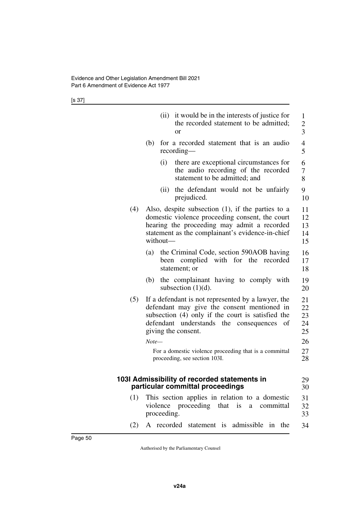|     | it would be in the interests of justice for<br>(ii)<br>the recorded statement to be admitted;<br><sub>or</sub>                                                                                                                           | $\mathbf{1}$<br>$\overline{c}$<br>$\overline{3}$ |
|-----|------------------------------------------------------------------------------------------------------------------------------------------------------------------------------------------------------------------------------------------|--------------------------------------------------|
|     | for a recorded statement that is an audio<br>(b)<br>$recording$ —                                                                                                                                                                        | $\overline{4}$<br>5                              |
|     | there are exceptional circumstances for<br>(i)<br>the audio recording of the recorded<br>statement to be admitted; and                                                                                                                   | 6<br>$\boldsymbol{7}$<br>8                       |
|     | the defendant would not be unfairly<br>(ii)<br>prejudiced.                                                                                                                                                                               | 9<br>10                                          |
| (4) | Also, despite subsection $(1)$ , if the parties to a<br>domestic violence proceeding consent, the court<br>hearing the proceeding may admit a recorded<br>statement as the complainant's evidence-in-chief<br>without-                   | 11<br>12<br>13<br>14<br>15                       |
|     | the Criminal Code, section 590AOB having<br>(a)<br>been complied with for the<br>recorded<br>statement; or                                                                                                                               | 16<br>17<br>18                                   |
|     | the complainant having to comply with<br>(b)<br>subsection $(1)(d)$ .                                                                                                                                                                    | 19<br>20                                         |
| (5) | If a defendant is not represented by a lawyer, the<br>defendant may give the consent mentioned in<br>subsection (4) only if the court is satisfied the<br>defendant understands the consequences<br>of<br>giving the consent.<br>$Note-$ | 21<br>22<br>23<br>24<br>25<br>26                 |
|     | For a domestic violence proceeding that is a committal<br>proceeding, see section 103I.                                                                                                                                                  | 27<br>28                                         |
|     | 103I Admissibility of recorded statements in<br>particular committal proceedings                                                                                                                                                         | 29<br>30                                         |
| (1) | This section applies in relation to a domestic<br>violence proceeding that is a<br>committal<br>proceeding.                                                                                                                              | 31<br>32<br>33                                   |
| (2) | A recorded statement is<br>admissible in the                                                                                                                                                                                             | 34                                               |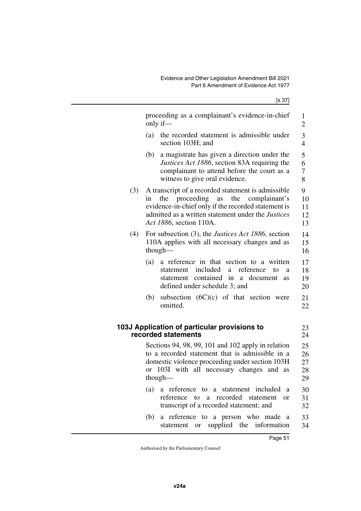|     | proceeding as a complainant's evidence-in-chief<br>only if—                                                                                                                                                                                         | 1<br>$\overline{2}$        |
|-----|-----------------------------------------------------------------------------------------------------------------------------------------------------------------------------------------------------------------------------------------------------|----------------------------|
|     | the recorded statement is admissible under<br>(a)<br>section 103H; and                                                                                                                                                                              | 3<br>$\overline{4}$        |
|     | a magistrate has given a direction under the<br>(b)<br>Justices Act 1886, section 83A requiring the<br>complainant to attend before the court as a<br>witness to give oral evidence.                                                                | 5<br>6<br>7<br>8           |
| (3) | A transcript of a recorded statement is admissible<br>proceeding<br>the<br>the<br>as<br>complainant's<br>in<br>evidence-in-chief only if the recorded statement is<br>admitted as a written statement under the Justices<br>Act 1886, section 110A. | 9<br>10<br>11<br>12<br>13  |
| (4) | For subsection (3), the <i>Justices Act 1886</i> , section<br>110A applies with all necessary changes and as<br>though-                                                                                                                             | 14<br>15<br>16             |
|     | (a)<br>a reference in that section to a written<br>included<br>reference<br>statement<br>a<br>to<br>a<br>contained in<br>document<br>statement<br>a a<br><b>as</b><br>defined under schedule 3; and                                                 | 17<br>18<br>19<br>20       |
|     | subsection $(6C)(c)$ of that section were<br>(b)<br>omitted.                                                                                                                                                                                        | 21<br>22                   |
|     | 103J Application of particular provisions to<br>recorded statements                                                                                                                                                                                 | 23<br>24                   |
|     | Sections 94, 98, 99, 101 and 102 apply in relation<br>to a recorded statement that is admissible in a<br>domestic violence proceeding under section 103H<br>103I with all necessary changes and as<br>or<br>though— $\overline{ }$                  | 25<br>26<br>27<br>28<br>29 |
|     | a reference to a statement included<br>(a)<br><sub>a</sub><br>a recorded<br>reference<br>$\mathsf{to}$<br>statement<br><sub>or</sub><br>transcript of a recorded statement; and                                                                     | 30<br>31<br>32             |
|     | a reference to a person who made a<br>(b)<br>statement or supplied the information                                                                                                                                                                  | 33<br>34                   |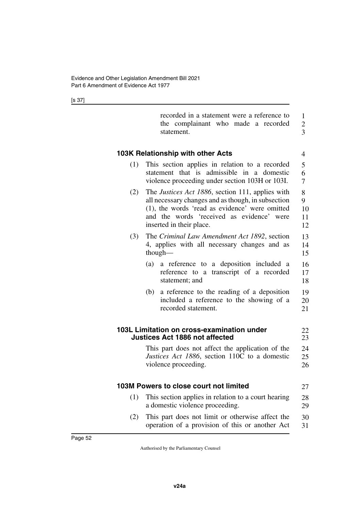|     | recorded in a statement were a reference to<br>the complainant who made a recorded<br>statement.                                                                                                                                          | $\mathbf{1}$<br>$\overline{c}$<br>3 |
|-----|-------------------------------------------------------------------------------------------------------------------------------------------------------------------------------------------------------------------------------------------|-------------------------------------|
|     | 103K Relationship with other Acts                                                                                                                                                                                                         | $\overline{4}$                      |
| (1) | This section applies in relation to a recorded<br>that is admissible in a domestic<br>statement<br>violence proceeding under section 103H or 103I.                                                                                        | 5<br>6<br>$\overline{7}$            |
| (2) | The <i>Justices Act 1886</i> , section 111, applies with<br>all necessary changes and as though, in subsection<br>(1), the words 'read as evidence' were omitted<br>and the words 'received as evidence' were<br>inserted in their place. | 8<br>9<br>10<br>11<br>12            |
| (3) | The Criminal Law Amendment Act 1892, section<br>4, applies with all necessary changes and as<br>though-                                                                                                                                   | 13<br>14<br>15                      |
|     | a reference to a deposition included a<br>(a)<br>reference to a transcript of a recorded<br>statement; and                                                                                                                                | 16<br>17<br>18                      |
|     | a reference to the reading of a deposition<br>(b)<br>included a reference to the showing of a<br>recorded statement.                                                                                                                      | 19<br>20<br>21                      |
|     | 103L Limitation on cross-examination under<br><b>Justices Act 1886 not affected</b>                                                                                                                                                       | 22<br>23                            |
|     | This part does not affect the application of the<br>Justices Act 1886, section 110C to a domestic<br>violence proceeding.                                                                                                                 | 24<br>25<br>26                      |
|     | 103M Powers to close court not limited                                                                                                                                                                                                    | 27                                  |
| (1) | This section applies in relation to a court hearing<br>a domestic violence proceeding.                                                                                                                                                    | 28<br>29                            |
| (2) | This part does not limit or otherwise affect the<br>operation of a provision of this or another Act                                                                                                                                       | 30<br>31                            |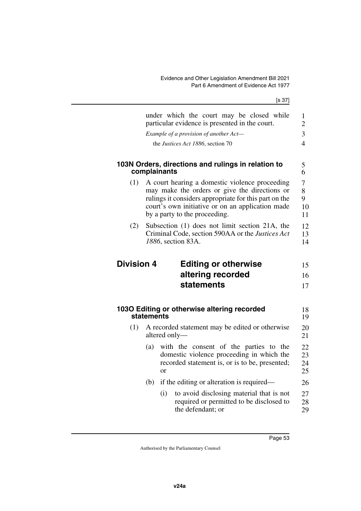|                   | under which the court may be closed while<br>particular evidence is presented in the court.                                                                                                                                                   | $\mathbf{1}$<br>$\overline{2}$ |
|-------------------|-----------------------------------------------------------------------------------------------------------------------------------------------------------------------------------------------------------------------------------------------|--------------------------------|
|                   | Example of a provision of another Act-                                                                                                                                                                                                        | 3                              |
|                   | the Justices Act 1886, section 70                                                                                                                                                                                                             | $\overline{4}$                 |
|                   | 103N Orders, directions and rulings in relation to<br>complainants                                                                                                                                                                            | 5<br>6                         |
| (1)               | A court hearing a domestic violence proceeding<br>may make the orders or give the directions or<br>rulings it considers appropriate for this part on the<br>court's own initiative or on an application made<br>by a party to the proceeding. | 7<br>8<br>9<br>10<br>11        |
| (2)               | Subsection (1) does not limit section 21A, the<br>Criminal Code, section 590AA or the Justices Act<br>1886, section 83A.                                                                                                                      | 12<br>13<br>14                 |
|                   |                                                                                                                                                                                                                                               |                                |
|                   |                                                                                                                                                                                                                                               |                                |
| <b>Division 4</b> | <b>Editing or otherwise</b>                                                                                                                                                                                                                   | 15                             |
|                   | altering recorded                                                                                                                                                                                                                             | 16                             |
|                   | statements                                                                                                                                                                                                                                    | 17                             |
|                   |                                                                                                                                                                                                                                               |                                |
|                   | 1030 Editing or otherwise altering recorded<br>statements                                                                                                                                                                                     | 18<br>19                       |
| (1)               | A recorded statement may be edited or otherwise<br>altered only-                                                                                                                                                                              | 20<br>21                       |
|                   | with the consent of the parties to the<br>(a)<br>domestic violence proceeding in which the<br>recorded statement is, or is to be, presented;<br><sub>or</sub>                                                                                 | 22<br>23<br>24<br>25           |
|                   | if the editing or alteration is required—<br>(b)                                                                                                                                                                                              | 26                             |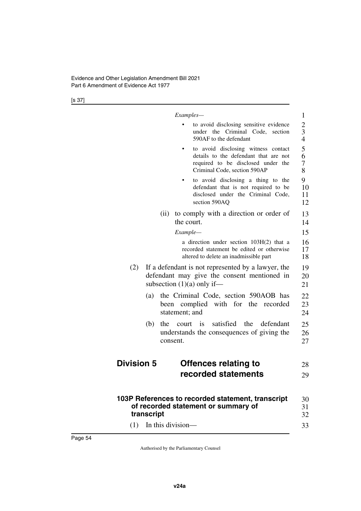|                   | Examples-                                                                                                                                          | 1                             |
|-------------------|----------------------------------------------------------------------------------------------------------------------------------------------------|-------------------------------|
|                   | to avoid disclosing sensitive evidence<br>under the Criminal Code, section<br>590AF to the defendant                                               | 2<br>3<br>$\overline{4}$      |
|                   | to avoid disclosing witness contact<br>details to the defendant that are not<br>required to be disclosed under the<br>Criminal Code, section 590AP | 5<br>6<br>$\overline{7}$<br>8 |
|                   | to avoid disclosing a thing to the<br>defendant that is not required to be<br>disclosed under the Criminal Code,<br>section 590AQ                  | 9<br>10<br>11<br>12           |
|                   | to comply with a direction or order of<br>(ii)<br>the court.                                                                                       | 13<br>14                      |
|                   | Example—                                                                                                                                           | 15                            |
|                   | a direction under section 103H(2) that a<br>recorded statement be edited or otherwise<br>altered to delete an inadmissible part                    | 16<br>17<br>18                |
| (2)               | If a defendant is not represented by a lawyer, the<br>defendant may give the consent mentioned in<br>subsection $(1)(a)$ only if—                  | 19<br>20<br>21                |
| (a)               | the Criminal Code, section 590AOB has<br>been complied with for the recorded<br>statement; and                                                     | 22<br>23<br>24                |
| (b)               | satisfied<br>the<br>defendant<br>the<br>court is<br>understands the consequences of giving the<br>consent.                                         | 25<br>26<br>27                |
| <b>Division 5</b> | Offences relating to                                                                                                                               | 28                            |
|                   | recorded statements                                                                                                                                | 29                            |
| transcript        | 103P References to recorded statement, transcript<br>of recorded statement or summary of                                                           | 30<br>31<br>32                |
| (1)               | In this division—                                                                                                                                  | 33                            |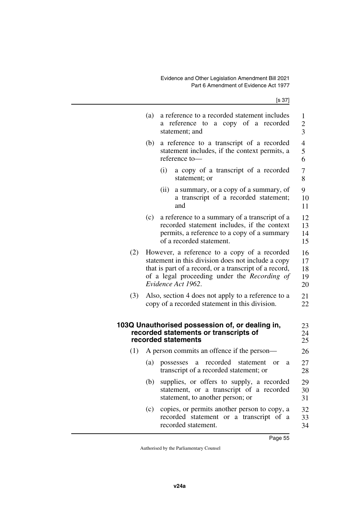|     | (a) | a reference to a recorded statement includes<br>a copy of a recorded<br>reference to<br>a -<br>statement; and                                                                                                                      | 1<br>$\overline{c}$<br>$\overline{3}$ |
|-----|-----|------------------------------------------------------------------------------------------------------------------------------------------------------------------------------------------------------------------------------------|---------------------------------------|
|     | (b) | a reference to a transcript of a recorded<br>statement includes, if the context permits, a<br>reference to-                                                                                                                        | $\overline{\mathcal{A}}$<br>5<br>6    |
|     |     | a copy of a transcript of a recorded<br>(i)<br>statement; or                                                                                                                                                                       | 7<br>8                                |
|     |     | a summary, or a copy of a summary, of<br>(ii)<br>a transcript of a recorded statement;<br>and                                                                                                                                      | 9<br>10<br>11                         |
|     | (c) | a reference to a summary of a transcript of a<br>recorded statement includes, if the context<br>permits, a reference to a copy of a summary<br>of a recorded statement.                                                            | 12<br>13<br>14<br>15                  |
| (2) |     | However, a reference to a copy of a recorded<br>statement in this division does not include a copy<br>that is part of a record, or a transcript of a record,<br>of a legal proceeding under the Recording of<br>Evidence Act 1962. | 16<br>17<br>18<br>19<br>20            |
| (3) |     | Also, section 4 does not apply to a reference to a<br>copy of a recorded statement in this division.                                                                                                                               | 21<br>22                              |
|     |     | 103Q Unauthorised possession of, or dealing in,<br>recorded statements or transcripts of<br>recorded statements                                                                                                                    | 23<br>24<br>25                        |
| (1) |     | A person commits an offence if the person-                                                                                                                                                                                         | 26                                    |
|     | (a) | recorded<br>statement<br>possesses<br>a<br><b>or</b><br>a<br>transcript of a recorded statement; or                                                                                                                                | 27<br>28                              |
|     | (b) | supplies, or offers to supply, a recorded<br>statement, or a transcript of a recorded<br>statement, to another person; or                                                                                                          | 29<br>30<br>31                        |
|     | (c) | copies, or permits another person to copy, a<br>recorded statement or a transcript of a<br>recorded statement.                                                                                                                     | 32<br>33<br>34                        |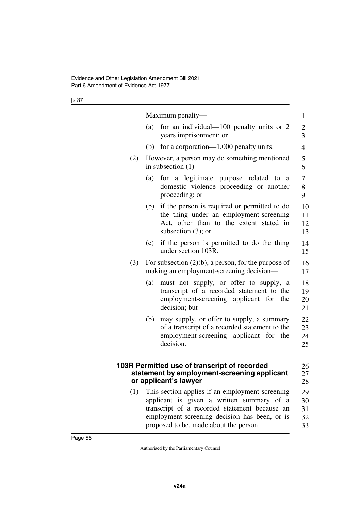|     | Maximum penalty—                                                                                                                                                   | $\mathbf{1}$                     |
|-----|--------------------------------------------------------------------------------------------------------------------------------------------------------------------|----------------------------------|
|     | for an individual—100 penalty units or 2<br>(a)<br>years imprisonment; or                                                                                          | $\overline{c}$<br>$\overline{3}$ |
|     | (b) for a corporation— $1,000$ penalty units.                                                                                                                      | 4                                |
| (2) | However, a person may do something mentioned<br>in subsection $(1)$ —                                                                                              | 5<br>6                           |
|     | for a legitimate purpose related<br>(a)<br>to<br>a<br>domestic violence proceeding or another<br>proceeding; or                                                    | 7<br>8<br>9                      |
|     | if the person is required or permitted to do<br>(b)<br>the thing under an employment-screening<br>Act, other than to the extent stated in<br>subsection $(3)$ ; or | 10<br>11<br>12<br>13             |
|     | if the person is permitted to do the thing<br>(c)<br>under section 103R.                                                                                           | 14<br>15                         |
| (3) | For subsection $(2)(b)$ , a person, for the purpose of<br>making an employment-screening decision—                                                                 | 16<br>17                         |
|     | must not supply, or offer to supply, a<br>(a)<br>transcript of a recorded statement to the<br>employment-screening applicant for the<br>decision; but              | 18<br>19<br>20<br>21             |
|     | (b)<br>may supply, or offer to supply, a summary<br>of a transcript of a recorded statement to the<br>employment-screening applicant for the<br>decision.          | 22<br>23<br>24<br>25             |
|     | 103R Permitted use of transcript of recorded<br>statement by employment-screening applicant<br>or applicant's lawyer                                               | 26<br>27<br>28                   |
| (1) | This section applies if an employment-screening<br>applicant is given a written summary of a<br>transcript of a recorded statement because an                      | 29<br>30<br>31                   |
|     | employment-screening decision has been, or is<br>proposed to be, made about the person.                                                                            | 32<br>33                         |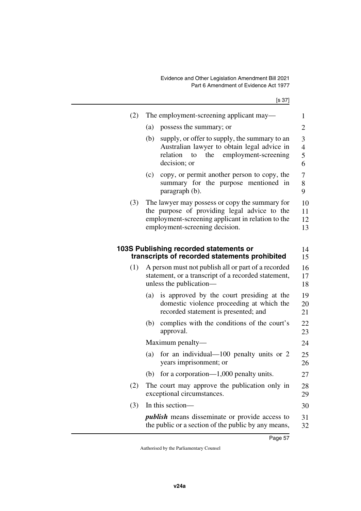| (2) | The employment-screening applicant may—<br>1                                                                                                                                                                    |                      |
|-----|-----------------------------------------------------------------------------------------------------------------------------------------------------------------------------------------------------------------|----------------------|
|     | possess the summary; or<br>(a)<br>$\overline{2}$                                                                                                                                                                |                      |
|     | supply, or offer to supply, the summary to an<br>(b)<br>3<br>Australian lawyer to obtain legal advice in<br>$\overline{\mathcal{A}}$<br>employment-screening<br>relation<br>the<br>5<br>to<br>decision; or<br>6 |                      |
|     | copy, or permit another person to copy, the<br>(c)<br>7<br>summary for the purpose mentioned in<br>8<br>paragraph (b).<br>9                                                                                     |                      |
| (3) | The lawyer may possess or copy the summary for<br>the purpose of providing legal advice to the<br>employment-screening applicant in relation to the<br>employment-screening decision.                           | 10<br>11<br>12<br>13 |
|     | 103S Publishing recorded statements or<br>transcripts of recorded statements prohibited                                                                                                                         | 14<br>15             |
| (1) | A person must not publish all or part of a recorded<br>statement, or a transcript of a recorded statement,<br>unless the publication—                                                                           | 16<br>17<br>18       |
|     | is approved by the court presiding at the<br>(a)<br>domestic violence proceeding at which the<br>recorded statement is presented; and                                                                           | 19<br>20<br>21       |
|     | complies with the conditions of the court's<br>(b)<br>approval.                                                                                                                                                 | 22<br>23             |
|     | Maximum penalty—                                                                                                                                                                                                | 24                   |
|     | for an individual— $100$ penalty units or 2<br>(a)<br>years imprisonment; or                                                                                                                                    | 25<br>26             |
|     | for a corporation— $1,000$ penalty units.<br>(b)                                                                                                                                                                | 27                   |
| (2) | The court may approve the publication only in<br>exceptional circumstances.                                                                                                                                     | 28<br>29             |
| (3) | In this section-                                                                                                                                                                                                | 30                   |
|     | <i>publish</i> means disseminate or provide access to<br>the public or a section of the public by any means,                                                                                                    | 31<br>32             |
|     |                                                                                                                                                                                                                 |                      |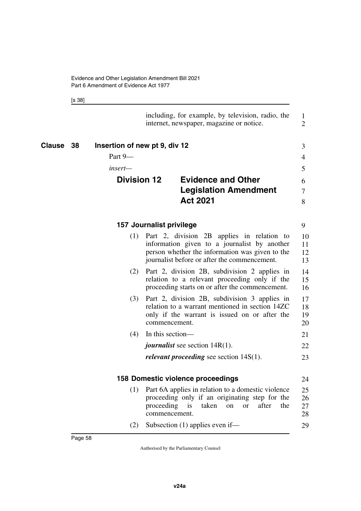[s 38]

|                |                               | including, for example, by television, radio, the<br>internet, newspaper, magazine or notice.                                                                                                    | 1<br>$\overline{2}$  |
|----------------|-------------------------------|--------------------------------------------------------------------------------------------------------------------------------------------------------------------------------------------------|----------------------|
| Clause<br>- 38 | Insertion of new pt 9, div 12 |                                                                                                                                                                                                  | 3                    |
|                | Part 9-                       |                                                                                                                                                                                                  | 4                    |
|                | insert—                       |                                                                                                                                                                                                  | 5                    |
|                | <b>Division 12</b>            | <b>Evidence and Other</b>                                                                                                                                                                        | 6                    |
|                |                               | <b>Legislation Amendment</b>                                                                                                                                                                     | $\overline{7}$       |
|                |                               | <b>Act 2021</b>                                                                                                                                                                                  | 8                    |
|                |                               | 157 Journalist privilege                                                                                                                                                                         | 9                    |
|                | (1)                           | Part 2, division 2B applies in relation to<br>information given to a journalist by another<br>person whether the information was given to the<br>journalist before or after the commencement.    | 10<br>11<br>12<br>13 |
|                | (2)                           | Part 2, division 2B, subdivision 2 applies in<br>relation to a relevant proceeding only if the<br>proceeding starts on or after the commencement.                                                | 14<br>15<br>16       |
|                | (3)                           | Part 2, division 2B, subdivision 3 applies in<br>relation to a warrant mentioned in section 14ZC<br>only if the warrant is issued on or after the<br>commencement.                               | 17<br>18<br>19<br>20 |
|                | (4)                           | In this section-                                                                                                                                                                                 | 21                   |
|                |                               | <i>journalist</i> see section $14R(1)$ .                                                                                                                                                         | 22                   |
|                |                               | <i>relevant proceeding</i> see section $14S(1)$ .                                                                                                                                                | 23                   |
|                |                               | 158 Domestic violence proceedings                                                                                                                                                                | 24                   |
|                | (1)                           | Part 6A applies in relation to a domestic violence<br>proceeding only if an originating step for the<br>proceeding<br>taken<br>after<br>the<br>1S<br><sub>on</sub><br><b>or</b><br>commencement. | 25<br>26<br>27<br>28 |
|                | (2)                           | Subsection (1) applies even if-                                                                                                                                                                  | 29                   |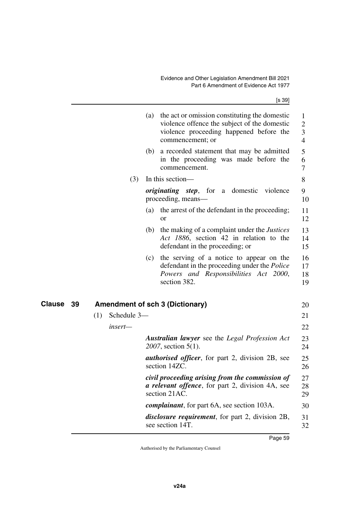|              |     |             |     | (a) the act or omission constituting the domestic<br>violence offence the subject of the domestic<br>violence proceeding happened before the<br>commencement; or | 1<br>$\overline{2}$<br>3<br>4 |
|--------------|-----|-------------|-----|------------------------------------------------------------------------------------------------------------------------------------------------------------------|-------------------------------|
|              |     |             | (b) | a recorded statement that may be admitted<br>in the proceeding was made before the<br>commencement.                                                              | 5<br>6<br>7                   |
|              |     | (3)         |     | In this section—                                                                                                                                                 | 8                             |
|              |     |             |     | <i>originating step</i> , for a domestic<br>violence<br>proceeding, means—                                                                                       | 9<br>10                       |
|              |     |             |     | (a) the arrest of the defendant in the proceeding;<br><b>or</b>                                                                                                  | 11<br>12                      |
|              |     |             | (b) | the making of a complaint under the <i>Justices</i><br>Act 1886, section 42 in relation to the<br>defendant in the proceeding; or                                | 13<br>14<br>15                |
|              |     |             | (c) | the serving of a notice to appear on the<br>defendant in the proceeding under the Police<br>Powers and Responsibilities Act 2000,<br>section 382.                | 16<br>17<br>18<br>19          |
| Clause<br>39 |     |             |     | <b>Amendment of sch 3 (Dictionary)</b>                                                                                                                           | 20                            |
|              | (1) | Schedule 3- |     |                                                                                                                                                                  | 21                            |
|              |     | insert-     |     |                                                                                                                                                                  | 22                            |
|              |     |             |     | <b>Australian lawyer</b> see the <i>Legal Profession Act</i><br>2007, section 5(1).                                                                              | 23<br>24                      |
|              |     |             |     | <b><i>authorised officer</i></b> , for part 2, division 2B, see<br>section 14ZC.                                                                                 | 25<br>26                      |
|              |     |             |     | civil proceeding arising from the commission of<br><i>a relevant offence</i> , for part 2, division 4A, see<br>section 21AC.                                     | 27<br>28<br>29                |
|              |     |             |     | <i>complainant</i> , for part 6A, see section 103A.                                                                                                              | 30                            |
|              |     |             |     | <i>disclosure requirement</i> , for part 2, division 2B,<br>see section 14T.                                                                                     | 31<br>32                      |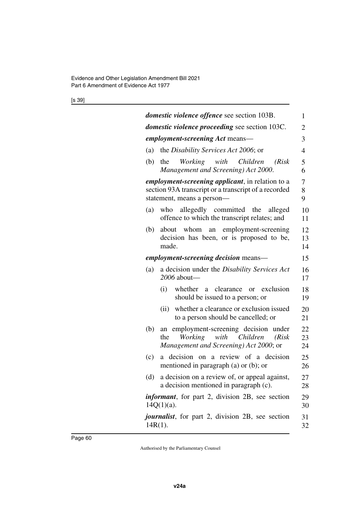[s 39]

| <i>domestic violence offence see section 103B.</i>                                   | 1              |
|--------------------------------------------------------------------------------------|----------------|
|                                                                                      |                |
| <i>domestic violence proceeding</i> see section 103C.                                | $\overline{2}$ |
| <i>employment-screening Act</i> means—                                               | 3              |
| the Disability Services Act 2006; or<br>(a)                                          | $\overline{4}$ |
| (b)<br>Working with<br>Children<br>the<br>(Risk)                                     | 5              |
| Management and Screening) Act 2000.                                                  | 6              |
| <i>employment-screening applicant</i> , in relation to a                             | 7              |
| section 93A transcript or a transcript of a recorded                                 | 8              |
| statement, means a person-                                                           | 9              |
| who allegedly committed the<br>(a)<br>alleged                                        | 10             |
| offence to which the transcript relates; and                                         | 11             |
| whom an employment-screening<br>(b)<br>about                                         | 12             |
| decision has been, or is proposed to be,<br>made.                                    | 13<br>14       |
| employment-screening decision means-                                                 |                |
|                                                                                      | 15             |
| a decision under the Disability Services Act<br>(a)<br>2006 about-                   | 16<br>17       |
|                                                                                      |                |
| (i)<br>whether a<br>clearance<br>exclusion<br>or<br>should be issued to a person; or | 18<br>19       |
| whether a clearance or exclusion issued<br>(ii)                                      | 20             |
| to a person should be cancelled; or                                                  | 21             |
| an employment-screening decision under<br>(b)                                        | 22             |
| Working with<br>Children<br>(Risk)<br>the                                            | 23             |
| Management and Screening) Act 2000; or                                               | 24             |
| decision on a review of a decision<br>(c)<br>a -                                     | 25             |
| mentioned in paragraph (a) or $(b)$ ; or                                             | 26             |
| a decision on a review of, or appeal against,<br>(d)                                 | 27             |
| a decision mentioned in paragraph (c).                                               | 28             |
| <i>informant</i> , for part 2, division 2B, see section                              | 29             |
| $14Q(1)(a)$ .                                                                        | 30             |
| <i>journalist</i> , for part 2, division 2B, see section                             | 31             |
| $14R(1)$ .                                                                           | 32             |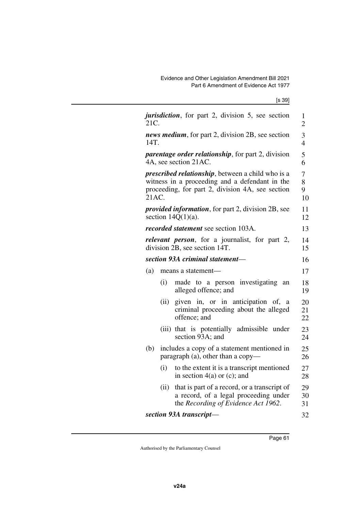| jurisdiction, for part 2, division 5, see section<br>21C.                                                                                                                | $\mathbf{1}$<br>$\overline{2}$ |
|--------------------------------------------------------------------------------------------------------------------------------------------------------------------------|--------------------------------|
| news medium, for part 2, division 2B, see section<br>14T.                                                                                                                | 3<br>$\overline{4}$            |
| <i>parentage order relationship</i> , for part 2, division<br>4A, see section 21AC.                                                                                      | 5<br>6                         |
| <i>prescribed relationship</i> , between a child who is a<br>witness in a proceeding and a defendant in the<br>proceeding, for part 2, division 4A, see section<br>21AC. | 7<br>8<br>9<br>10              |
| <i>provided information</i> , for part 2, division 2B, see<br>section $14Q(1)(a)$ .                                                                                      | 11<br>12                       |
| <i>recorded statement</i> see section 103A.                                                                                                                              | 13                             |
| <i>relevant person</i> , for a journalist, for part 2,<br>division 2B, see section 14T.                                                                                  | 14<br>15                       |
| section 93A criminal statement-                                                                                                                                          | 16                             |
| (a)<br>means a statement-                                                                                                                                                | 17                             |
| made to a person investigating<br>(i)<br>an<br>alleged offence; and                                                                                                      | 18<br>19                       |
| given in, or in anticipation of,<br>(ii)<br>a<br>criminal proceeding about the alleged<br>offence; and                                                                   | 20<br>21<br>22                 |
| (iii) that is potentially admissible under<br>section 93A; and                                                                                                           | 23<br>24                       |
| includes a copy of a statement mentioned in<br>(b)<br>paragraph (a), other than a copy-                                                                                  | 25<br>26                       |
| (i)<br>to the extent it is a transcript mentioned<br>in section $4(a)$ or (c); and                                                                                       | 27<br>28                       |
| that is part of a record, or a transcript of<br>(ii)<br>a record, of a legal proceeding under<br>the Recording of Evidence Act 1962.                                     | 29<br>30<br>31                 |
| section 93A transcript-                                                                                                                                                  | 32                             |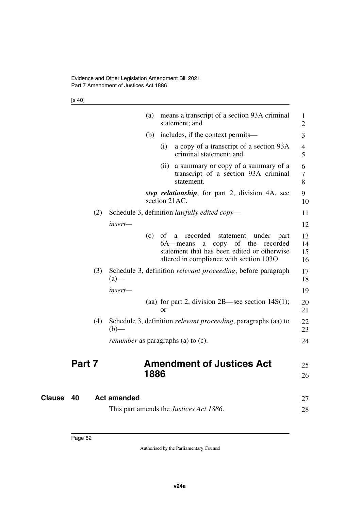[s 40]

|        |     |                                           | (a)  |      | means a transcript of a section 93A criminal<br>statement; and                                                                                                                                   | $\mathbf{1}$<br>2    |
|--------|-----|-------------------------------------------|------|------|--------------------------------------------------------------------------------------------------------------------------------------------------------------------------------------------------|----------------------|
|        |     |                                           | (b)  |      | includes, if the context permits—                                                                                                                                                                | 3                    |
|        |     |                                           |      | (i)  | a copy of a transcript of a section 93A<br>criminal statement; and                                                                                                                               | 4<br>5               |
|        |     |                                           |      | (ii) | a summary or copy of a summary of a<br>transcript of a section 93A criminal<br>statement.                                                                                                        | 6<br>7<br>8          |
|        |     |                                           |      |      | step relationship, for part 2, division 4A, see<br>section 21AC.                                                                                                                                 | 9<br>10              |
|        | (2) |                                           |      |      | Schedule 3, definition <i>lawfully edited copy</i> —                                                                                                                                             | 11                   |
|        |     | insert-                                   |      |      |                                                                                                                                                                                                  | 12                   |
|        |     |                                           | (c)  | of   | recorded<br>statement<br>under<br><sub>a</sub><br>part<br>copy<br>of the<br>6A—means<br>recorded<br>a<br>statement that has been edited or otherwise<br>altered in compliance with section 1030. | 13<br>14<br>15<br>16 |
|        | (3) | $(a)$ —                                   |      |      | Schedule 3, definition relevant proceeding, before paragraph                                                                                                                                     | 17<br>18             |
|        |     | insert-                                   |      |      |                                                                                                                                                                                                  | 19                   |
|        |     |                                           |      | or   | (aa) for part 2, division $2B$ —see section $14S(1)$ ;                                                                                                                                           | 20<br>21             |
|        | (4) | $(b)$ —                                   |      |      | Schedule 3, definition relevant proceeding, paragraphs (aa) to                                                                                                                                   | 22<br>23             |
|        |     | <i>renumber</i> as paragraphs (a) to (c). |      |      |                                                                                                                                                                                                  | 24                   |
| Part 7 |     |                                           |      |      | <b>Amendment of Justices Act</b>                                                                                                                                                                 | 25                   |
|        |     |                                           | 1886 |      |                                                                                                                                                                                                  | 26                   |
| 40     |     | <b>Act amended</b>                        |      |      |                                                                                                                                                                                                  | 27                   |
|        |     |                                           |      |      | This part amends the <i>Justices Act 1886</i> .                                                                                                                                                  | 28                   |

**Clause** 40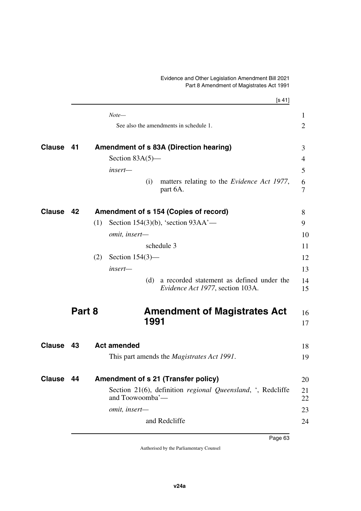## Evidence and Other Legislation Amendment Bill 2021 Part 8 Amendment of Magistrates Act 1991

|               |        |     |                                                                                        | [s 41]         |
|---------------|--------|-----|----------------------------------------------------------------------------------------|----------------|
|               |        |     | $Note-$                                                                                | 1              |
|               |        |     | See also the amendments in schedule 1.                                                 | $\overline{2}$ |
| <b>Clause</b> | 41     |     | Amendment of s 83A (Direction hearing)                                                 | 3              |
|               |        |     | Section $83A(5)$ —                                                                     | 4              |
|               |        |     | insert-                                                                                | 5              |
|               |        |     | (i)<br>matters relating to the <i>Evidence Act 1977</i> ,<br>part 6A.                  | 6<br>7         |
| Clause 42     |        |     | Amendment of s 154 (Copies of record)                                                  | 8              |
|               |        | (1) | Section 154(3)(b), 'section $93AA'$ —                                                  | 9              |
|               |        |     | omit, insert-                                                                          | 10             |
|               |        |     | schedule 3                                                                             | 11             |
|               |        | (2) | Section $154(3)$ —                                                                     | 12             |
|               |        |     | insert-                                                                                | 13             |
|               |        |     | a recorded statement as defined under the<br>(d)<br>Evidence Act 1977, section 103A.   | 14<br>15       |
|               | Part 8 |     | <b>Amendment of Magistrates Act</b>                                                    | 16             |
|               |        |     | 1991                                                                                   | 17             |
| <b>Clause</b> | - 43   |     | <b>Act amended</b>                                                                     | 18             |
|               |        |     | This part amends the <i>Magistrates Act 1991</i> .                                     | 19             |
| <b>Clause</b> | 44     |     | Amendment of s 21 (Transfer policy)                                                    | 20             |
|               |        |     | Section 21(6), definition <i>regional Queensland</i> , ', Redcliffe<br>and Toowoomba'- | 21<br>22       |
|               |        |     | omit, insert-                                                                          | 23             |
|               |        |     | and Redcliffe                                                                          | 24             |
|               |        |     |                                                                                        |                |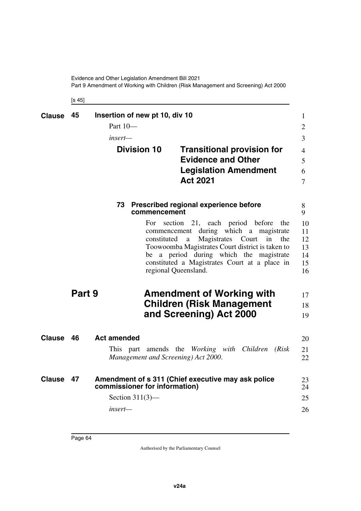Evidence and Other Legislation Amendment Bill 2021 Part 9 Amendment of Working with Children (Risk Management and Screening) Act 2000

[s 45]

| <b>Clause</b> | 45     | Insertion of new pt 10, div 10 |                                                                    |                                                                                                                                                                                            |                                                        | $\mathbf{1}$                           |
|---------------|--------|--------------------------------|--------------------------------------------------------------------|--------------------------------------------------------------------------------------------------------------------------------------------------------------------------------------------|--------------------------------------------------------|----------------------------------------|
|               |        | Part 10-                       |                                                                    |                                                                                                                                                                                            |                                                        | $\overline{2}$                         |
|               |        | insert—                        |                                                                    |                                                                                                                                                                                            |                                                        | $\overline{3}$                         |
|               |        | <b>Division 10</b>             |                                                                    | <b>Transitional provision for</b><br><b>Evidence and Other</b>                                                                                                                             |                                                        | $\overline{4}$<br>5                    |
|               |        |                                |                                                                    | <b>Legislation Amendment</b><br><b>Act 2021</b>                                                                                                                                            |                                                        | 6<br>$\overline{7}$                    |
|               |        |                                | commencement                                                       | 73 Prescribed regional experience before                                                                                                                                                   |                                                        | 8<br>9                                 |
|               |        |                                | For section<br>commencement<br>constituted<br>regional Queensland. | 21, each period before<br>Magistrates<br>a<br>Toowoomba Magistrates Court district is taken to<br>be a period during which the magistrate<br>constituted a Magistrates Court at a place in | the<br>during which a magistrate<br>Court<br>in<br>the | 10<br>11<br>12<br>13<br>14<br>15<br>16 |
|               | Part 9 |                                |                                                                    | <b>Amendment of Working with</b><br><b>Children (Risk Management</b><br>and Screening) Act 2000                                                                                            |                                                        | 17<br>18<br>19                         |
| <b>Clause</b> | 46     | <b>Act amended</b>             |                                                                    |                                                                                                                                                                                            |                                                        | 20                                     |
|               |        |                                |                                                                    | This part amends the Working with Children<br>Management and Screening) Act 2000.                                                                                                          | (Risk)                                                 | 21<br>22                               |
| <b>Clause</b> | 47     | commissioner for information)  |                                                                    | Amendment of s 311 (Chief executive may ask police                                                                                                                                         |                                                        | 23<br>24                               |
|               |        | Section $311(3)$ —             |                                                                    |                                                                                                                                                                                            |                                                        | 25                                     |
|               |        | insert—                        |                                                                    |                                                                                                                                                                                            |                                                        | 26                                     |
|               |        |                                |                                                                    |                                                                                                                                                                                            |                                                        |                                        |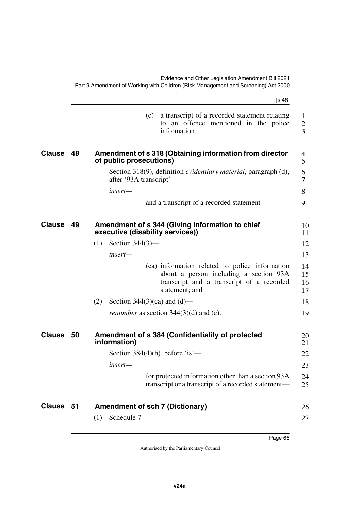|               |    | [s 48]                                                                                                                                                  |                                     |
|---------------|----|---------------------------------------------------------------------------------------------------------------------------------------------------------|-------------------------------------|
|               |    | a transcript of a recorded statement relating<br>(c)<br>to an offence mentioned in the police<br>information.                                           | $\mathbf{1}$<br>$\overline{2}$<br>3 |
| <b>Clause</b> | 48 | Amendment of s 318 (Obtaining information from director<br>of public prosecutions)                                                                      | 4<br>5                              |
|               |    | Section 318(9), definition <i>evidentiary material</i> , paragraph (d),<br>after '93A transcript'—                                                      | 6<br>7                              |
|               |    | insert—                                                                                                                                                 | 8                                   |
|               |    | and a transcript of a recorded statement                                                                                                                | 9                                   |
| <b>Clause</b> | 49 | Amendment of s 344 (Giving information to chief<br>executive (disability services))                                                                     | 10<br>11                            |
|               |    | Section $344(3)$ —<br>(1)                                                                                                                               | 12                                  |
|               |    | insert-                                                                                                                                                 | 13                                  |
|               |    | (ca) information related to police information<br>about a person including a section 93A<br>transcript and a transcript of a recorded<br>statement; and | 14<br>15<br>16<br>17                |
|               |    | (2)<br>Section $344(3)(ca)$ and $(d)$ —                                                                                                                 | 18                                  |
|               |    | <i>renumber</i> as section $344(3)(d)$ and (e).                                                                                                         | 19                                  |
| <b>Clause</b> | 50 | Amendment of s 384 (Confidentiality of protected<br>information)                                                                                        | 20<br>21                            |
|               |    | Section $384(4)(b)$ , before 'is'—                                                                                                                      | 22                                  |
|               |    | insert—                                                                                                                                                 | 23                                  |
|               |    | for protected information other than a section 93A<br>transcript or a transcript of a recorded statement—                                               | 24<br>25                            |
| <b>Clause</b> | 51 | <b>Amendment of sch 7 (Dictionary)</b>                                                                                                                  | 26                                  |
|               |    | Schedule 7-<br>(1)                                                                                                                                      | 27                                  |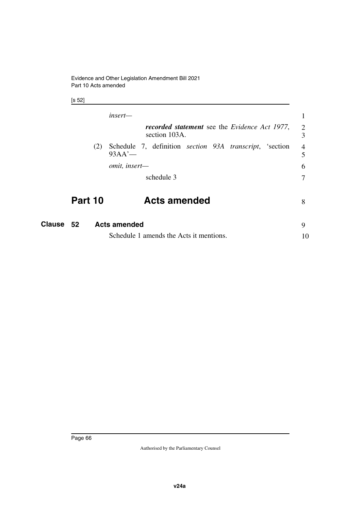[s 52]

|         | $insert-$                                                                           |        |
|---------|-------------------------------------------------------------------------------------|--------|
|         | <b>recorded statement</b> see the <i>Evidence Act 1977</i> ,<br>section 103A.       | 2<br>3 |
| (2)     | Schedule 7, definition <i>section</i> 93A <i>transcript</i> , 'section<br>$93AA'$ — | 4<br>5 |
|         | omit, insert-                                                                       | 6      |
|         | schedule 3                                                                          |        |
| Part 10 | <b>Acts amended</b>                                                                 | 8      |
| гΛ      | اممام مرمسم ملب                                                                     | $\sim$ |

| <b>Clause 52</b> | <b>Acts amended</b>                     |  |
|------------------|-----------------------------------------|--|
|                  | Schedule 1 amends the Acts it mentions. |  |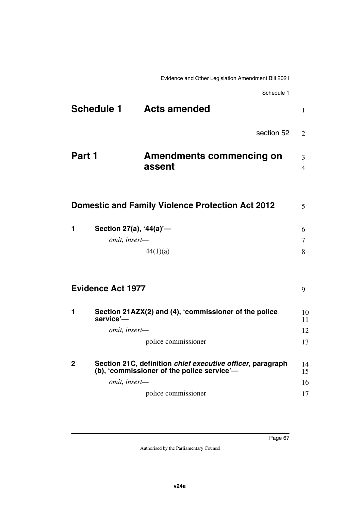|                   | Schedule 1                                                                                               |                     |
|-------------------|----------------------------------------------------------------------------------------------------------|---------------------|
| <b>Schedule 1</b> | <b>Acts amended</b>                                                                                      | 1                   |
|                   | section 52                                                                                               | 2                   |
| Part 1            | <b>Amendments commencing on</b><br>assent                                                                | 3<br>$\overline{4}$ |
|                   |                                                                                                          |                     |
|                   | <b>Domestic and Family Violence Protection Act 2012</b>                                                  | 5                   |
| 1                 | Section 27(a), '44(a)'-                                                                                  | 6                   |
|                   | omit, insert-                                                                                            | 7                   |
|                   | 44(1)(a)                                                                                                 | 8                   |
|                   | <b>Evidence Act 1977</b>                                                                                 | 9                   |
| 1                 | Section 21AZX(2) and (4), 'commissioner of the police<br>service'-                                       | 10<br>11            |
|                   | omit, insert-                                                                                            | 12                  |
|                   | police commissioner                                                                                      | 13                  |
| 2                 | Section 21C, definition chief executive officer, paragraph<br>(b), 'commissioner of the police service'- | 14<br>15            |
|                   | omit, insert-                                                                                            | 16                  |
|                   | police commissioner                                                                                      | 17                  |
|                   |                                                                                                          |                     |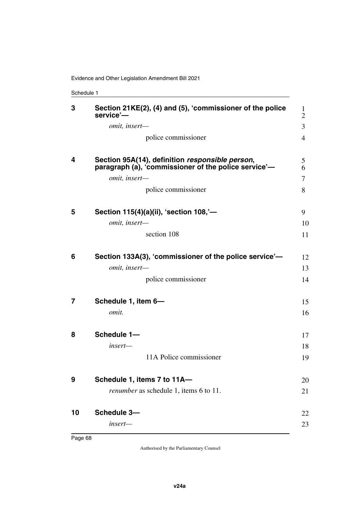Schedule 1

| 3  | Section 21KE(2), (4) and (5), 'commissioner of the police<br>service'-                                  | 1<br>$\overline{2}$ |
|----|---------------------------------------------------------------------------------------------------------|---------------------|
|    | omit, insert-                                                                                           | 3                   |
|    | police commissioner                                                                                     | $\overline{4}$      |
| 4  | Section 95A(14), definition responsible person,<br>paragraph (a), 'commissioner of the police service'- | 5<br>6              |
|    | omit, insert-                                                                                           | 7                   |
|    | police commissioner                                                                                     | 8                   |
| 5  | Section 115(4)(a)(ii), 'section 108,'-                                                                  | 9                   |
|    | omit, insert-                                                                                           | 10                  |
|    | section 108                                                                                             | 11                  |
| 6  | Section 133A(3), 'commissioner of the police service'-                                                  | 12                  |
|    | omit, insert-                                                                                           | 13                  |
|    | police commissioner                                                                                     | 14                  |
| 7  | Schedule 1, item 6-                                                                                     | 15                  |
|    | omit.                                                                                                   | 16                  |
| 8  | Schedule 1-                                                                                             | 17                  |
|    | insert—                                                                                                 | 18                  |
|    | 11A Police commissioner                                                                                 | 19                  |
| 9  | Schedule 1, items 7 to 11A-                                                                             | 20                  |
|    | <i>renumber</i> as schedule 1, items 6 to 11.                                                           | 21                  |
| 10 | Schedule 3-                                                                                             | 22                  |
|    | insert-                                                                                                 | 23                  |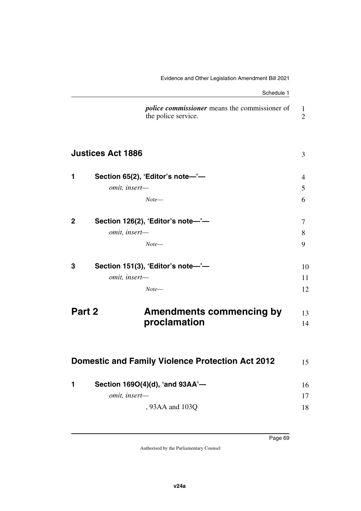|             | Schedule 1                                                                  |                                |
|-------------|-----------------------------------------------------------------------------|--------------------------------|
|             | <i>police commissioner</i> means the commissioner of<br>the police service. | $\mathbf{1}$<br>$\overline{2}$ |
|             | <b>Justices Act 1886</b>                                                    | 3                              |
| 1           | Section 65(2), 'Editor's note-'-                                            | 4                              |
|             | omit, insert-                                                               | 5                              |
|             | Note—                                                                       | 6                              |
| $\mathbf 2$ | Section 126(2), 'Editor's note-'-                                           | 7                              |
|             | omit, insert-                                                               | 8                              |
|             | Note—                                                                       | 9                              |
| 3           | Section 151(3), 'Editor's note-'-                                           | 10                             |
|             | omit, insert-                                                               | 11                             |
|             | Note—                                                                       | 12                             |
| Part 2      | <b>Amendments commencing by</b>                                             | 13                             |
|             | proclamation                                                                | 14                             |
|             |                                                                             |                                |
|             | <b>Domestic and Family Violence Protection Act 2012</b>                     | 15                             |
| 1           | Section 169O(4)(d), 'and 93AA'-                                             | 16                             |
|             | omit, insert-                                                               | 17                             |
|             | , 93AA and 103Q                                                             | 18                             |
|             |                                                                             |                                |